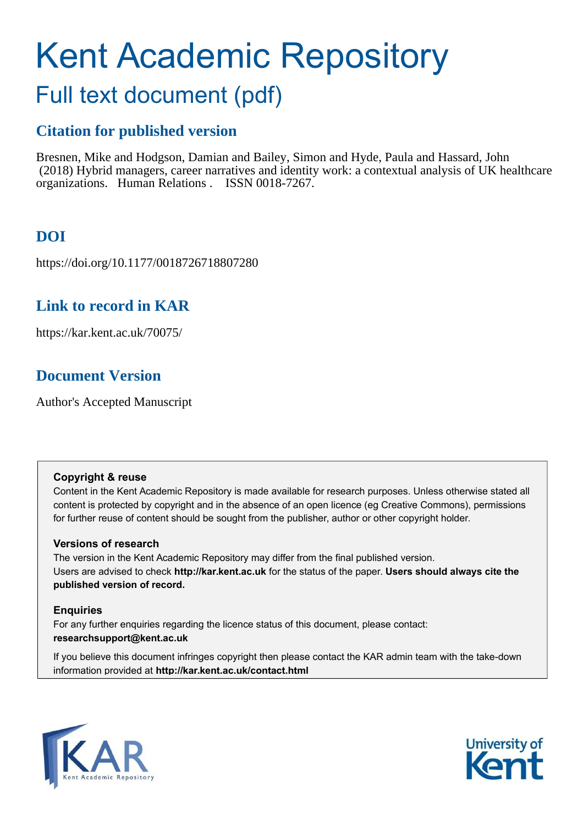# Kent Academic Repository

## Full text document (pdf)

## **Citation for published version**

Bresnen, Mike and Hodgson, Damian and Bailey, Simon and Hyde, Paula and Hassard, John (2018) Hybrid managers, career narratives and identity work: a contextual analysis of UK healthcare organizations. Human Relations . ISSN 0018-7267.

## **DOI**

https://doi.org/10.1177/0018726718807280

## **Link to record in KAR**

https://kar.kent.ac.uk/70075/

## **Document Version**

Author's Accepted Manuscript

#### **Copyright & reuse**

Content in the Kent Academic Repository is made available for research purposes. Unless otherwise stated all content is protected by copyright and in the absence of an open licence (eg Creative Commons), permissions for further reuse of content should be sought from the publisher, author or other copyright holder.

#### **Versions of research**

The version in the Kent Academic Repository may differ from the final published version. Users are advised to check **http://kar.kent.ac.uk** for the status of the paper. **Users should always cite the published version of record.**

#### **Enquiries**

For any further enquiries regarding the licence status of this document, please contact: **researchsupport@kent.ac.uk**

If you believe this document infringes copyright then please contact the KAR admin team with the take-down information provided at **http://kar.kent.ac.uk/contact.html**



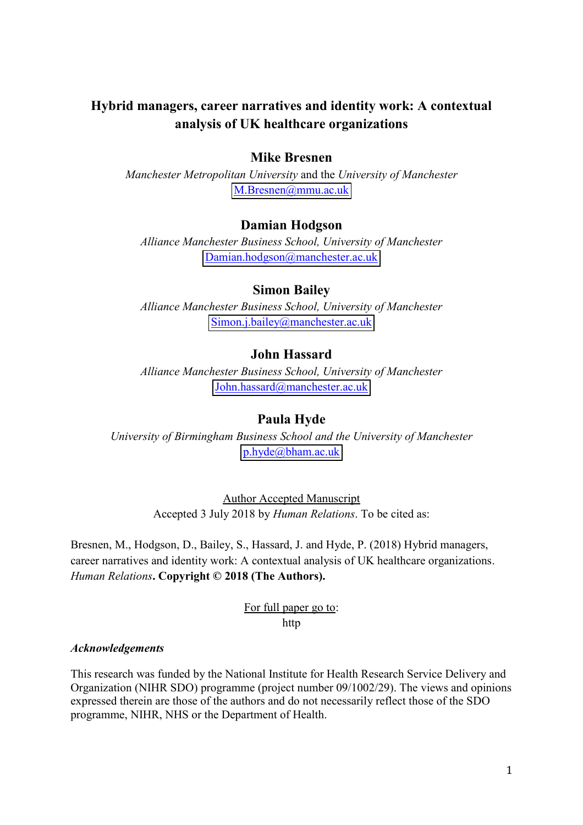## **Hybrid managers, career narratives and identity work: A contextual analysis of UK healthcare organizations**

#### **Mike Bresnen**

*Manchester Metropolitan University* and the *University of Manchester* [M.Bresnen@mmu.ac.uk](mailto:M.Bresnen@mmu.ac.uk)

#### **Damian Hodgson**

*Alliance Manchester Business School, University of Manchester*  [Damian.hodgson@manchester.ac.uk](mailto:Damian.hodgson@manchester.ac.uk)

#### **Simon Bailey**

*Alliance Manchester Business School, University of Manchester*  [Simon.j.bailey@manchester.ac.uk](mailto:Simon.j.bailey@manchester.ac.uk)

#### **John Hassard**

*Alliance Manchester Business School, University of Manchester*  [John.hassard@manchester.ac.uk](mailto:John.hassard@manchester.ac.uk)

#### **Paula Hyde**

*University of Birmingham Business School and the University of Manchester*  [p.hyde@bham.ac.uk](mailto:p.hyde@bham.ac.uk)

> Author Accepted Manuscript Accepted 3 July 2018 by *Human Relations*. To be cited as:

Bresnen, M., Hodgson, D., Bailey, S., Hassard, J. and Hyde, P. (2018) Hybrid managers, career narratives and identity work: A contextual analysis of UK healthcare organizations. *Human Relations***. Copyright © 2018 (The Authors).** 

#### For full paper go to: http

#### *Acknowledgements*

This research was funded by the National Institute for Health Research Service Delivery and Organization (NIHR SDO) programme (project number 09/1002/29). The views and opinions expressed therein are those of the authors and do not necessarily reflect those of the SDO programme, NIHR, NHS or the Department of Health.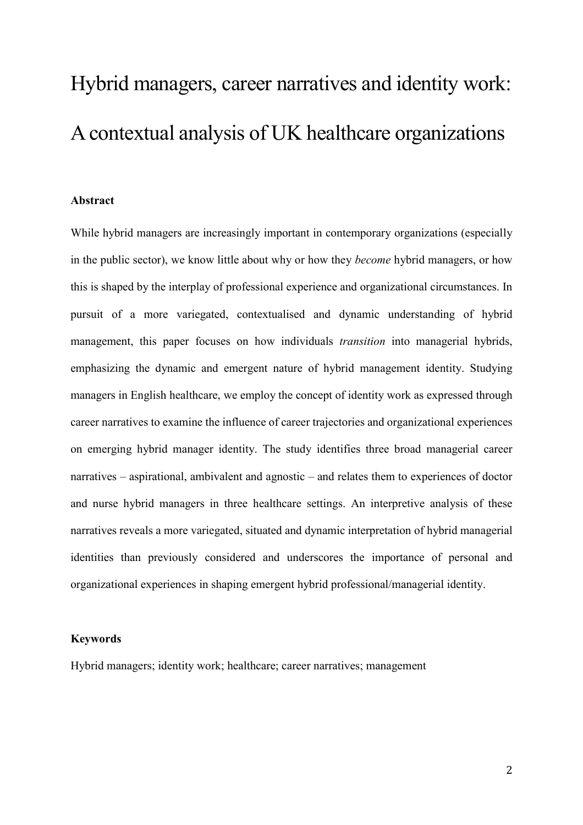## Hybrid managers, career narratives and identity work: A contextual analysis of UK healthcare organizations

#### **Abstract**

While hybrid managers are increasingly important in contemporary organizations (especially in the public sector), we know little about why or how they *become* hybrid managers, or how this is shaped by the interplay of professional experience and organizational circumstances. In pursuit of a more variegated, contextualised and dynamic understanding of hybrid management, this paper focuses on how individuals *transition* into managerial hybrids, emphasizing the dynamic and emergent nature of hybrid management identity. Studying managers in English healthcare, we employ the concept of identity work as expressed through career narratives to examine the influence of career trajectories and organizational experiences on emerging hybrid manager identity. The study identifies three broad managerial career narratives – aspirational, ambivalent and agnostic – and relates them to experiences of doctor and nurse hybrid managers in three healthcare settings. An interpretive analysis of these narratives reveals a more variegated, situated and dynamic interpretation of hybrid managerial identities than previously considered and underscores the importance of personal and organizational experiences in shaping emergent hybrid professional/managerial identity.

#### **Keywords**

Hybrid managers; identity work; healthcare; career narratives; management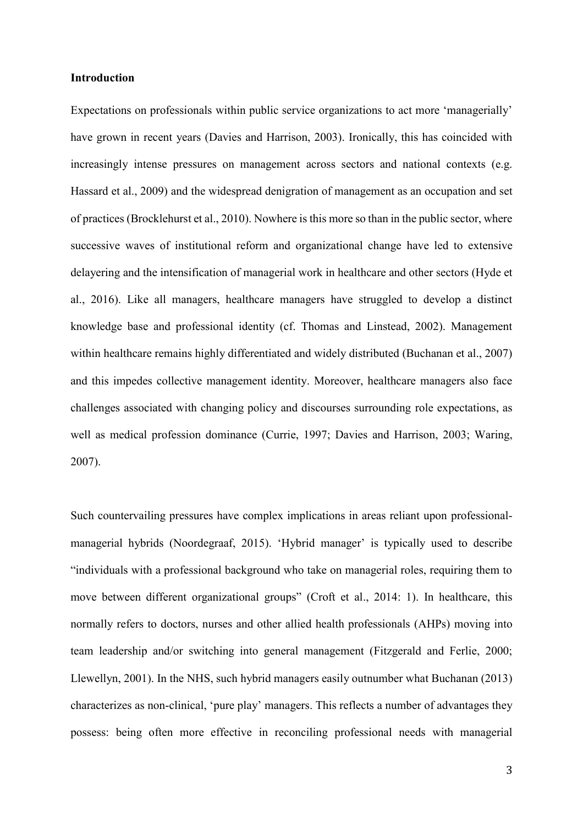#### **Introduction**

Expectations on professionals within public service organizations to act more 'managerially' have grown in recent years (Davies and Harrison, 2003). Ironically, this has coincided with increasingly intense pressures on management across sectors and national contexts (e.g. Hassard et al., 2009) and the widespread denigration of management as an occupation and set of practices (Brocklehurst et al., 2010). Nowhere is this more so than in the public sector, where successive waves of institutional reform and organizational change have led to extensive delayering and the intensification of managerial work in healthcare and other sectors (Hyde et al., 2016). Like all managers, healthcare managers have struggled to develop a distinct knowledge base and professional identity (cf. Thomas and Linstead, 2002). Management within healthcare remains highly differentiated and widely distributed (Buchanan et al., 2007) and this impedes collective management identity. Moreover, healthcare managers also face challenges associated with changing policy and discourses surrounding role expectations, as well as medical profession dominance (Currie, 1997; Davies and Harrison, 2003; Waring, 2007).

Such countervailing pressures have complex implications in areas reliant upon professionalmanagerial hybrids (Noordegraaf, 2015). 'Hybrid manager' is typically used to describe "individuals with a professional background who take on managerial roles, requiring them to move between different organizational groups" (Croft et al., 2014: 1). In healthcare, this normally refers to doctors, nurses and other allied health professionals (AHPs) moving into team leadership and/or switching into general management (Fitzgerald and Ferlie, 2000; Llewellyn, 2001). In the NHS, such hybrid managers easily outnumber what Buchanan (2013) characterizes as non-clinical, 'pure play' managers. This reflects a number of advantages they possess: being often more effective in reconciling professional needs with managerial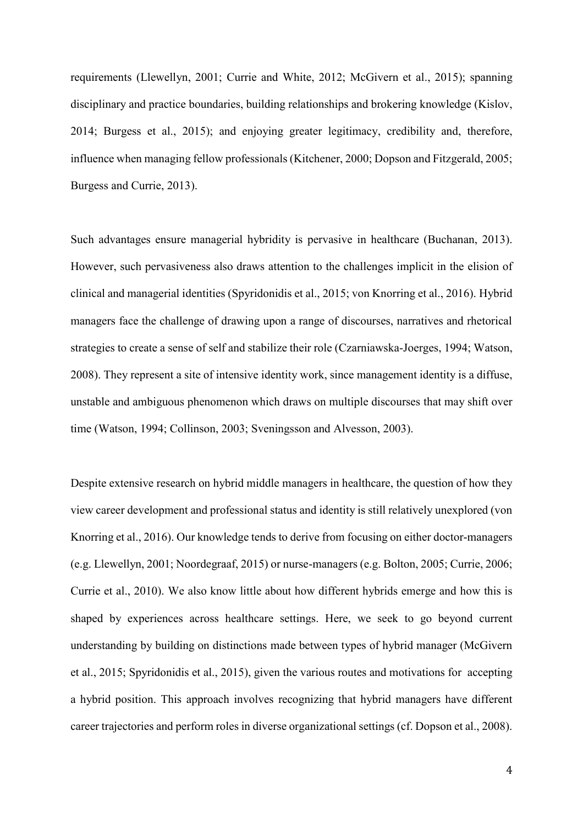requirements (Llewellyn, 2001; Currie and White, 2012; McGivern et al., 2015); spanning disciplinary and practice boundaries, building relationships and brokering knowledge (Kislov, 2014; Burgess et al., 2015); and enjoying greater legitimacy, credibility and, therefore, influence when managing fellow professionals (Kitchener, 2000; Dopson and Fitzgerald, 2005; Burgess and Currie, 2013).

Such advantages ensure managerial hybridity is pervasive in healthcare (Buchanan, 2013). However, such pervasiveness also draws attention to the challenges implicit in the elision of clinical and managerial identities (Spyridonidis et al., 2015; von Knorring et al., 2016). Hybrid managers face the challenge of drawing upon a range of discourses, narratives and rhetorical strategies to create a sense of self and stabilize their role (Czarniawska-Joerges, 1994; Watson, 2008). They represent a site of intensive identity work, since management identity is a diffuse, unstable and ambiguous phenomenon which draws on multiple discourses that may shift over time (Watson, 1994; Collinson, 2003; Sveningsson and Alvesson, 2003).

Despite extensive research on hybrid middle managers in healthcare, the question of how they view career development and professional status and identity is still relatively unexplored (von Knorring et al., 2016). Our knowledge tends to derive from focusing on either doctor-managers (e.g. Llewellyn, 2001; Noordegraaf, 2015) or nurse-managers (e.g. Bolton, 2005; Currie, 2006; Currie et al., 2010). We also know little about how different hybrids emerge and how this is shaped by experiences across healthcare settings. Here, we seek to go beyond current understanding by building on distinctions made between types of hybrid manager (McGivern et al., 2015; Spyridonidis et al., 2015), given the various routes and motivations for accepting a hybrid position. This approach involves recognizing that hybrid managers have different career trajectories and perform roles in diverse organizational settings (cf. Dopson et al., 2008).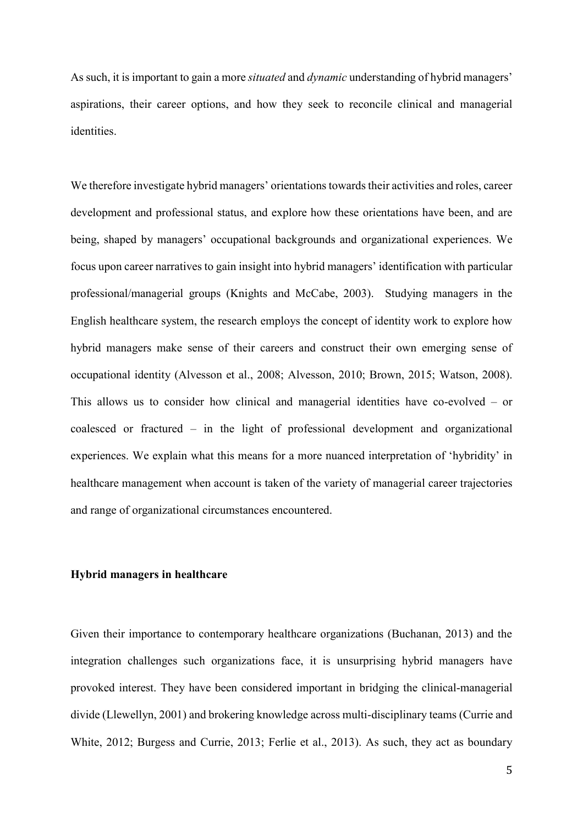As such, it is important to gain a more *situated* and *dynamic* understanding of hybrid managers' aspirations, their career options, and how they seek to reconcile clinical and managerial identities.

We therefore investigate hybrid managers' orientations towards their activities and roles, career development and professional status, and explore how these orientations have been, and are being, shaped by managers' occupational backgrounds and organizational experiences. We focus upon career narratives to gain insight into hybrid managers' identification with particular professional/managerial groups (Knights and McCabe, 2003). Studying managers in the English healthcare system, the research employs the concept of identity work to explore how hybrid managers make sense of their careers and construct their own emerging sense of occupational identity (Alvesson et al., 2008; Alvesson, 2010; Brown, 2015; Watson, 2008). This allows us to consider how clinical and managerial identities have co-evolved – or coalesced or fractured – in the light of professional development and organizational experiences. We explain what this means for a more nuanced interpretation of 'hybridity' in healthcare management when account is taken of the variety of managerial career trajectories and range of organizational circumstances encountered.

#### **Hybrid managers in healthcare**

Given their importance to contemporary healthcare organizations (Buchanan, 2013) and the integration challenges such organizations face, it is unsurprising hybrid managers have provoked interest. They have been considered important in bridging the clinical-managerial divide (Llewellyn, 2001) and brokering knowledge across multi-disciplinary teams (Currie and White, 2012; Burgess and Currie, 2013; Ferlie et al., 2013). As such, they act as boundary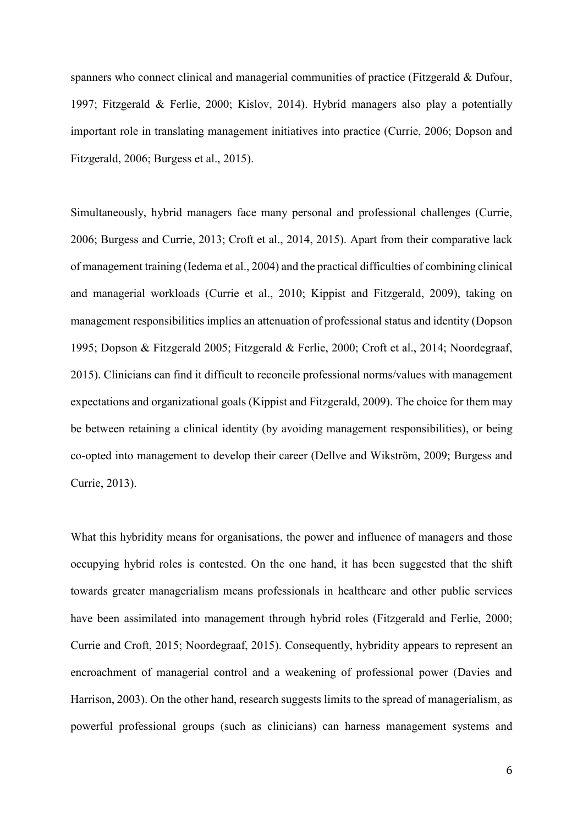spanners who connect clinical and managerial communities of practice (Fitzgerald & Dufour, 1997; Fitzgerald & Ferlie, 2000; Kislov, 2014). Hybrid managers also play a potentially important role in translating management initiatives into practice (Currie, 2006; Dopson and Fitzgerald, 2006; Burgess et al., 2015).

Simultaneously, hybrid managers face many personal and professional challenges (Currie, 2006; Burgess and Currie, 2013; Croft et al., 2014, 2015). Apart from their comparative lack of management training (Iedema et al., 2004) and the practical difficulties of combining clinical and managerial workloads (Currie et al., 2010; Kippist and Fitzgerald, 2009), taking on management responsibilities implies an attenuation of professional status and identity (Dopson 1995; Dopson & Fitzgerald 2005; Fitzgerald & Ferlie, 2000; Croft et al., 2014; Noordegraaf, 2015). Clinicians can find it difficult to reconcile professional norms/values with management expectations and organizational goals (Kippist and Fitzgerald, 2009). The choice for them may be between retaining a clinical identity (by avoiding management responsibilities), or being co-opted into management to develop their career (Dellve and Wikström, 2009; Burgess and Currie, 2013).

What this hybridity means for organisations, the power and influence of managers and those occupying hybrid roles is contested. On the one hand, it has been suggested that the shift towards greater managerialism means professionals in healthcare and other public services have been assimilated into management through hybrid roles (Fitzgerald and Ferlie, 2000; Currie and Croft, 2015; Noordegraaf, 2015). Consequently, hybridity appears to represent an encroachment of managerial control and a weakening of professional power (Davies and Harrison, 2003). On the other hand, research suggests limits to the spread of managerialism, as powerful professional groups (such as clinicians) can harness management systems and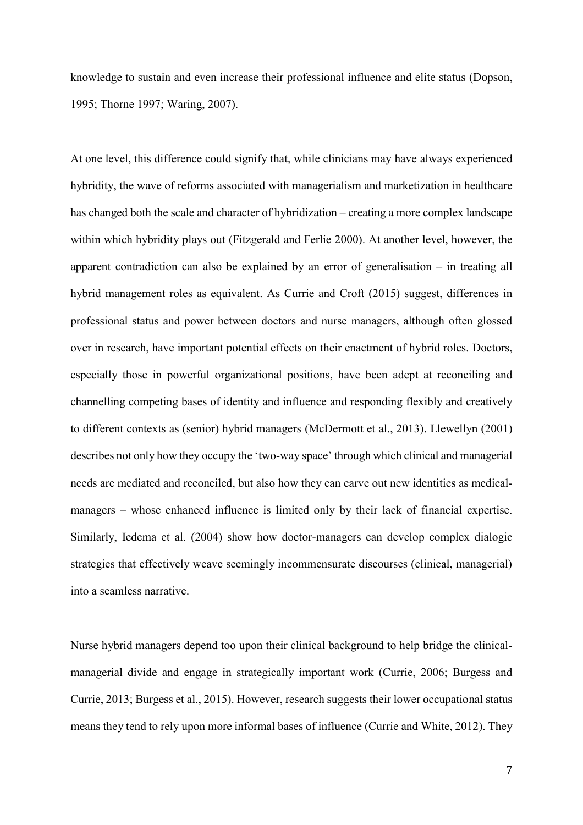knowledge to sustain and even increase their professional influence and elite status (Dopson, 1995; Thorne 1997; Waring, 2007).

At one level, this difference could signify that, while clinicians may have always experienced hybridity, the wave of reforms associated with managerialism and marketization in healthcare has changed both the scale and character of hybridization – creating a more complex landscape within which hybridity plays out (Fitzgerald and Ferlie 2000). At another level, however, the apparent contradiction can also be explained by an error of generalisation – in treating all hybrid management roles as equivalent. As Currie and Croft (2015) suggest, differences in professional status and power between doctors and nurse managers, although often glossed over in research, have important potential effects on their enactment of hybrid roles. Doctors, especially those in powerful organizational positions, have been adept at reconciling and channelling competing bases of identity and influence and responding flexibly and creatively to different contexts as (senior) hybrid managers (McDermott et al., 2013). Llewellyn (2001) describes not only how they occupy the 'two-way space' through which clinical and managerial needs are mediated and reconciled, but also how they can carve out new identities as medicalmanagers – whose enhanced influence is limited only by their lack of financial expertise. Similarly, Iedema et al. (2004) show how doctor-managers can develop complex dialogic strategies that effectively weave seemingly incommensurate discourses (clinical, managerial) into a seamless narrative.

Nurse hybrid managers depend too upon their clinical background to help bridge the clinicalmanagerial divide and engage in strategically important work (Currie, 2006; Burgess and Currie, 2013; Burgess et al., 2015). However, research suggests their lower occupational status means they tend to rely upon more informal bases of influence (Currie and White, 2012). They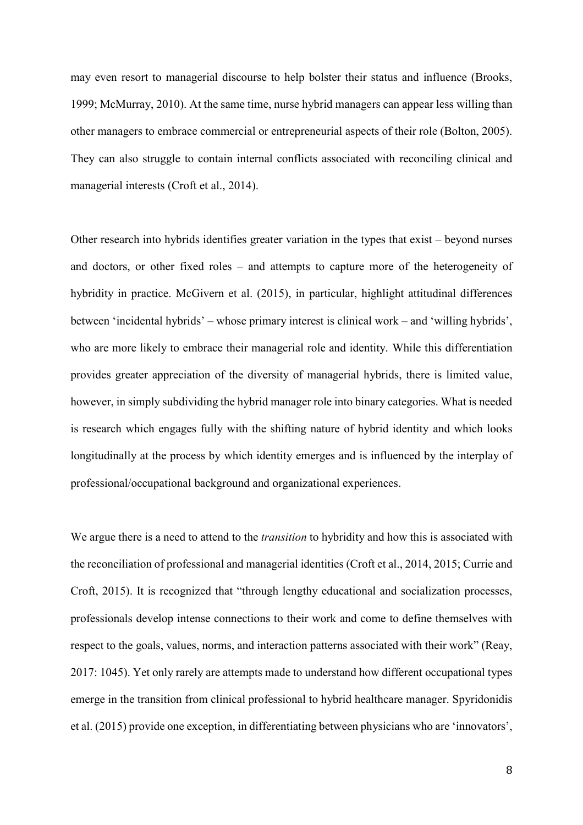may even resort to managerial discourse to help bolster their status and influence (Brooks, 1999; McMurray, 2010). At the same time, nurse hybrid managers can appear less willing than other managers to embrace commercial or entrepreneurial aspects of their role (Bolton, 2005). They can also struggle to contain internal conflicts associated with reconciling clinical and managerial interests (Croft et al., 2014).

Other research into hybrids identifies greater variation in the types that exist – beyond nurses and doctors, or other fixed roles – and attempts to capture more of the heterogeneity of hybridity in practice. McGivern et al. (2015), in particular, highlight attitudinal differences between 'incidental hybrids' – whose primary interest is clinical work – and 'willing hybrids', who are more likely to embrace their managerial role and identity. While this differentiation provides greater appreciation of the diversity of managerial hybrids, there is limited value, however, in simply subdividing the hybrid manager role into binary categories. What is needed is research which engages fully with the shifting nature of hybrid identity and which looks longitudinally at the process by which identity emerges and is influenced by the interplay of professional/occupational background and organizational experiences.

We argue there is a need to attend to the *transition* to hybridity and how this is associated with the reconciliation of professional and managerial identities (Croft et al., 2014, 2015; Currie and Croft, 2015). It is recognized that "through lengthy educational and socialization processes, professionals develop intense connections to their work and come to define themselves with respect to the goals, values, norms, and interaction patterns associated with their work" (Reay, 2017: 1045). Yet only rarely are attempts made to understand how different occupational types emerge in the transition from clinical professional to hybrid healthcare manager. Spyridonidis et al. (2015) provide one exception, in differentiating between physicians who are 'innovators',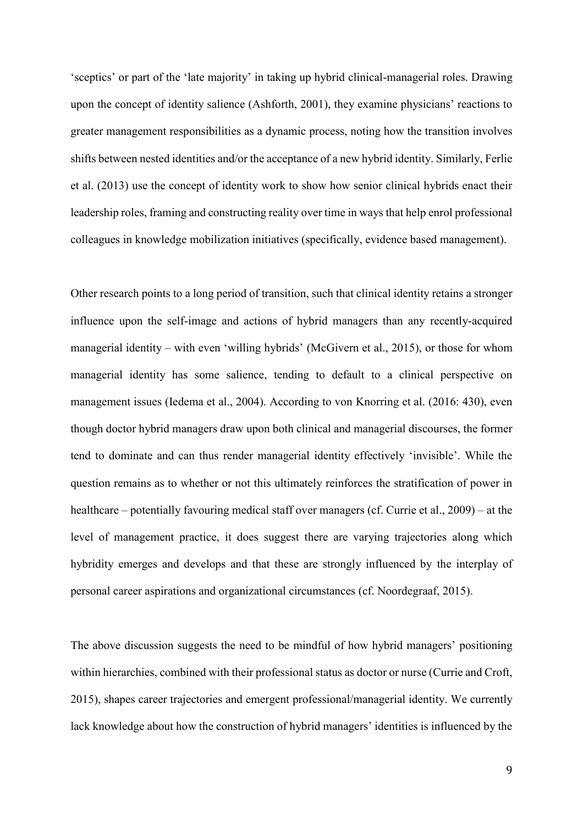'sceptics' or part of the 'late majority' in taking up hybrid clinical-managerial roles. Drawing upon the concept of identity salience (Ashforth, 2001), they examine physicians' reactions to greater management responsibilities as a dynamic process, noting how the transition involves shifts between nested identities and/or the acceptance of a new hybrid identity. Similarly, Ferlie et al. (2013) use the concept of identity work to show how senior clinical hybrids enact their leadership roles, framing and constructing reality over time in ways that help enrol professional colleagues in knowledge mobilization initiatives (specifically, evidence based management).

Other research points to a long period of transition, such that clinical identity retains a stronger influence upon the self-image and actions of hybrid managers than any recently-acquired managerial identity – with even 'willing hybrids' (McGivern et al., 2015), or those for whom managerial identity has some salience, tending to default to a clinical perspective on management issues (Iedema et al., 2004). According to von Knorring et al. (2016: 430), even though doctor hybrid managers draw upon both clinical and managerial discourses, the former tend to dominate and can thus render managerial identity effectively 'invisible'. While the question remains as to whether or not this ultimately reinforces the stratification of power in healthcare – potentially favouring medical staff over managers (cf. Currie et al., 2009) – at the level of management practice, it does suggest there are varying trajectories along which hybridity emerges and develops and that these are strongly influenced by the interplay of personal career aspirations and organizational circumstances (cf. Noordegraaf, 2015).

The above discussion suggests the need to be mindful of how hybrid managers' positioning within hierarchies, combined with their professional status as doctor or nurse (Currie and Croft, 2015), shapes career trajectories and emergent professional/managerial identity. We currently lack knowledge about how the construction of hybrid managers' identities is influenced by the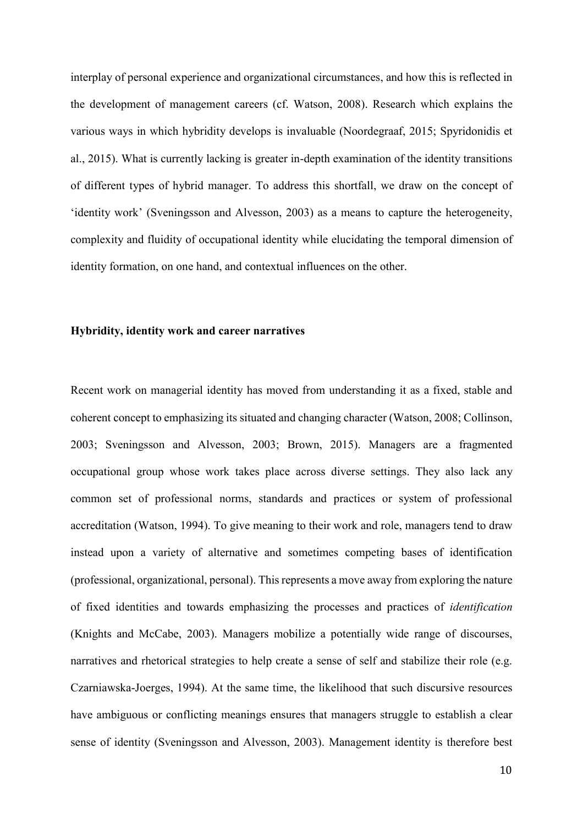interplay of personal experience and organizational circumstances, and how this is reflected in the development of management careers (cf. Watson, 2008). Research which explains the various ways in which hybridity develops is invaluable (Noordegraaf, 2015; Spyridonidis et al., 2015). What is currently lacking is greater in-depth examination of the identity transitions of different types of hybrid manager. To address this shortfall, we draw on the concept of 'identity work' (Sveningsson and Alvesson, 2003) as a means to capture the heterogeneity, complexity and fluidity of occupational identity while elucidating the temporal dimension of identity formation, on one hand, and contextual influences on the other.

#### **Hybridity, identity work and career narratives**

Recent work on managerial identity has moved from understanding it as a fixed, stable and coherent concept to emphasizing its situated and changing character (Watson, 2008; Collinson, 2003; Sveningsson and Alvesson, 2003; Brown, 2015). Managers are a fragmented occupational group whose work takes place across diverse settings. They also lack any common set of professional norms, standards and practices or system of professional accreditation (Watson, 1994). To give meaning to their work and role, managers tend to draw instead upon a variety of alternative and sometimes competing bases of identification (professional, organizational, personal). This represents a move away from exploring the nature of fixed identities and towards emphasizing the processes and practices of *identification* (Knights and McCabe, 2003). Managers mobilize a potentially wide range of discourses, narratives and rhetorical strategies to help create a sense of self and stabilize their role (e.g. Czarniawska-Joerges, 1994). At the same time, the likelihood that such discursive resources have ambiguous or conflicting meanings ensures that managers struggle to establish a clear sense of identity (Sveningsson and Alvesson, 2003). Management identity is therefore best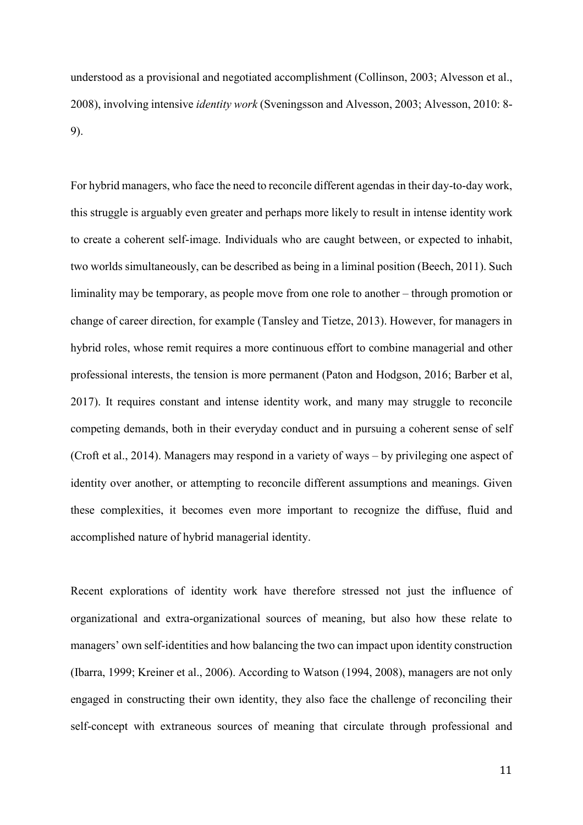understood as a provisional and negotiated accomplishment (Collinson, 2003; Alvesson et al., 2008), involving intensive *identity work* (Sveningsson and Alvesson, 2003; Alvesson, 2010: 8- 9).

For hybrid managers, who face the need to reconcile different agendas in their day-to-day work, this struggle is arguably even greater and perhaps more likely to result in intense identity work to create a coherent self-image. Individuals who are caught between, or expected to inhabit, two worlds simultaneously, can be described as being in a liminal position (Beech, 2011). Such liminality may be temporary, as people move from one role to another – through promotion or change of career direction, for example (Tansley and Tietze, 2013). However, for managers in hybrid roles, whose remit requires a more continuous effort to combine managerial and other professional interests, the tension is more permanent (Paton and Hodgson, 2016; Barber et al, 2017). It requires constant and intense identity work, and many may struggle to reconcile competing demands, both in their everyday conduct and in pursuing a coherent sense of self (Croft et al., 2014). Managers may respond in a variety of ways – by privileging one aspect of identity over another, or attempting to reconcile different assumptions and meanings. Given these complexities, it becomes even more important to recognize the diffuse, fluid and accomplished nature of hybrid managerial identity.

Recent explorations of identity work have therefore stressed not just the influence of organizational and extra-organizational sources of meaning, but also how these relate to managers' own self-identities and how balancing the two can impact upon identity construction (Ibarra, 1999; Kreiner et al., 2006). According to Watson (1994, 2008), managers are not only engaged in constructing their own identity, they also face the challenge of reconciling their self-concept with extraneous sources of meaning that circulate through professional and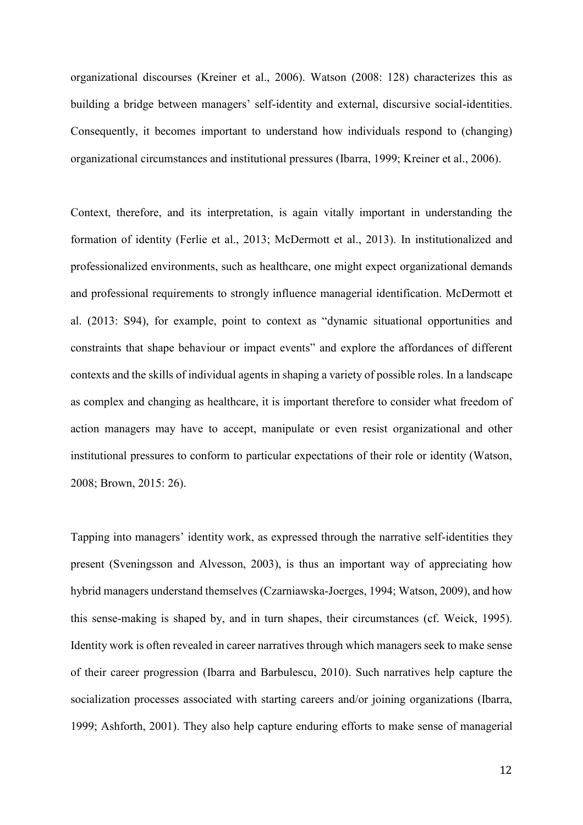organizational discourses (Kreiner et al., 2006). Watson (2008: 128) characterizes this as building a bridge between managers' self-identity and external, discursive social-identities. Consequently, it becomes important to understand how individuals respond to (changing) organizational circumstances and institutional pressures (Ibarra, 1999; Kreiner et al., 2006).

Context, therefore, and its interpretation, is again vitally important in understanding the formation of identity (Ferlie et al., 2013; McDermott et al., 2013). In institutionalized and professionalized environments, such as healthcare, one might expect organizational demands and professional requirements to strongly influence managerial identification. McDermott et al. (2013: S94), for example, point to context as "dynamic situational opportunities and constraints that shape behaviour or impact events" and explore the affordances of different contexts and the skills of individual agents in shaping a variety of possible roles. In a landscape as complex and changing as healthcare, it is important therefore to consider what freedom of action managers may have to accept, manipulate or even resist organizational and other institutional pressures to conform to particular expectations of their role or identity (Watson, 2008; Brown, 2015: 26).

Tapping into managers' identity work, as expressed through the narrative self-identities they present (Sveningsson and Alvesson, 2003), is thus an important way of appreciating how hybrid managers understand themselves (Czarniawska-Joerges, 1994; Watson, 2009), and how this sense-making is shaped by, and in turn shapes, their circumstances (cf. Weick, 1995). Identity work is often revealed in career narratives through which managers seek to make sense of their career progression (Ibarra and Barbulescu, 2010). Such narratives help capture the socialization processes associated with starting careers and/or joining organizations (Ibarra, 1999; Ashforth, 2001). They also help capture enduring efforts to make sense of managerial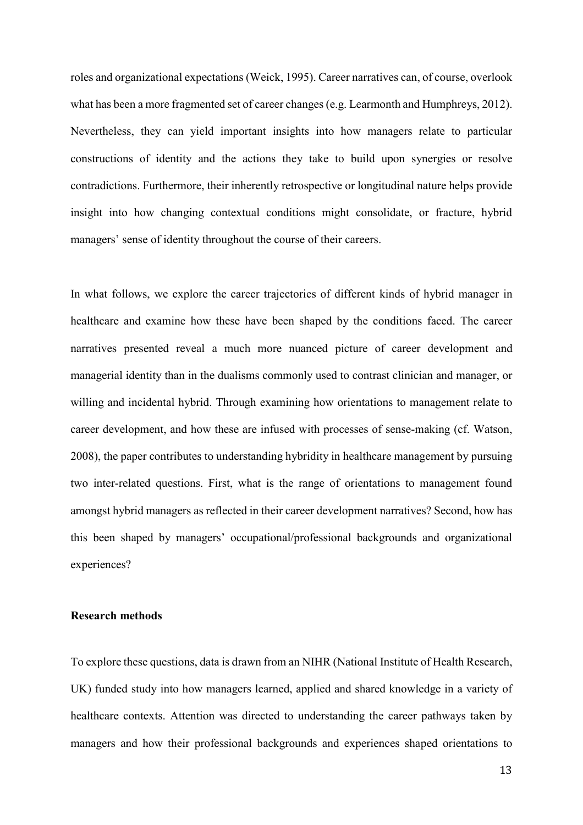roles and organizational expectations (Weick, 1995). Career narratives can, of course, overlook what has been a more fragmented set of career changes (e.g. Learmonth and Humphreys, 2012). Nevertheless, they can yield important insights into how managers relate to particular constructions of identity and the actions they take to build upon synergies or resolve contradictions. Furthermore, their inherently retrospective or longitudinal nature helps provide insight into how changing contextual conditions might consolidate, or fracture, hybrid managers' sense of identity throughout the course of their careers.

In what follows, we explore the career trajectories of different kinds of hybrid manager in healthcare and examine how these have been shaped by the conditions faced. The career narratives presented reveal a much more nuanced picture of career development and managerial identity than in the dualisms commonly used to contrast clinician and manager, or willing and incidental hybrid. Through examining how orientations to management relate to career development, and how these are infused with processes of sense-making (cf. Watson, 2008), the paper contributes to understanding hybridity in healthcare management by pursuing two inter-related questions. First, what is the range of orientations to management found amongst hybrid managers as reflected in their career development narratives? Second, how has this been shaped by managers' occupational/professional backgrounds and organizational experiences?

#### **Research methods**

To explore these questions, data is drawn from an NIHR (National Institute of Health Research, UK) funded study into how managers learned, applied and shared knowledge in a variety of healthcare contexts. Attention was directed to understanding the career pathways taken by managers and how their professional backgrounds and experiences shaped orientations to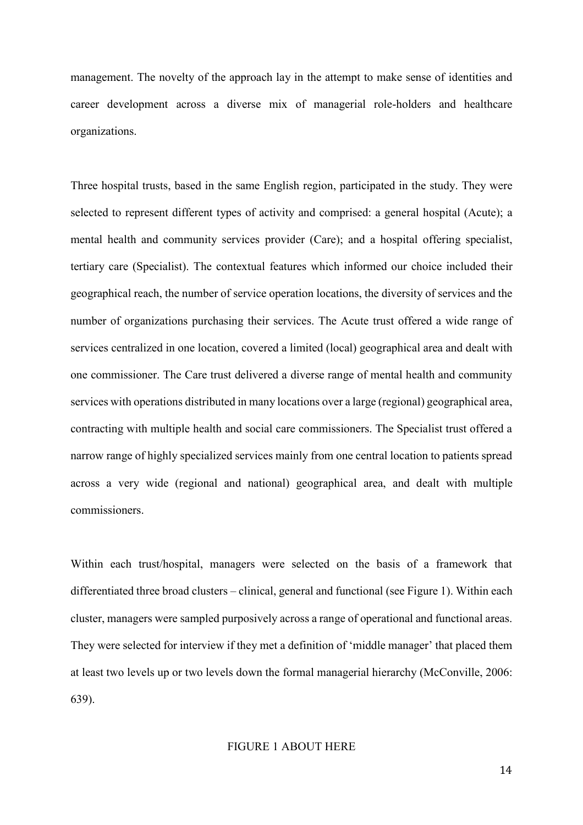management. The novelty of the approach lay in the attempt to make sense of identities and career development across a diverse mix of managerial role-holders and healthcare organizations.

Three hospital trusts, based in the same English region, participated in the study. They were selected to represent different types of activity and comprised: a general hospital (Acute); a mental health and community services provider (Care); and a hospital offering specialist, tertiary care (Specialist). The contextual features which informed our choice included their geographical reach, the number of service operation locations, the diversity of services and the number of organizations purchasing their services. The Acute trust offered a wide range of services centralized in one location, covered a limited (local) geographical area and dealt with one commissioner. The Care trust delivered a diverse range of mental health and community services with operations distributed in many locations over a large (regional) geographical area, contracting with multiple health and social care commissioners. The Specialist trust offered a narrow range of highly specialized services mainly from one central location to patients spread across a very wide (regional and national) geographical area, and dealt with multiple commissioners.

Within each trust/hospital, managers were selected on the basis of a framework that differentiated three broad clusters – clinical, general and functional (see Figure 1). Within each cluster, managers were sampled purposively across a range of operational and functional areas. They were selected for interview if they met a definition of 'middle manager' that placed them at least two levels up or two levels down the formal managerial hierarchy (McConville, 2006: 639).

#### FIGURE 1 ABOUT HERE

14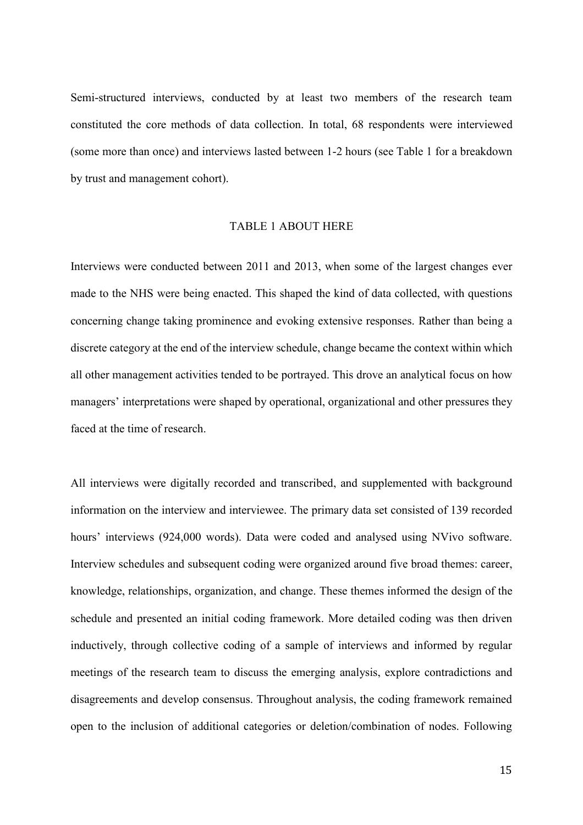Semi-structured interviews, conducted by at least two members of the research team constituted the core methods of data collection. In total, 68 respondents were interviewed (some more than once) and interviews lasted between 1-2 hours (see Table 1 for a breakdown by trust and management cohort).

#### TABLE 1 ABOUT HERE

Interviews were conducted between 2011 and 2013, when some of the largest changes ever made to the NHS were being enacted. This shaped the kind of data collected, with questions concerning change taking prominence and evoking extensive responses. Rather than being a discrete category at the end of the interview schedule, change became the context within which all other management activities tended to be portrayed. This drove an analytical focus on how managers' interpretations were shaped by operational, organizational and other pressures they faced at the time of research.

All interviews were digitally recorded and transcribed, and supplemented with background information on the interview and interviewee. The primary data set consisted of 139 recorded hours' interviews (924,000 words). Data were coded and analysed using NVivo software. Interview schedules and subsequent coding were organized around five broad themes: career, knowledge, relationships, organization, and change. These themes informed the design of the schedule and presented an initial coding framework. More detailed coding was then driven inductively, through collective coding of a sample of interviews and informed by regular meetings of the research team to discuss the emerging analysis, explore contradictions and disagreements and develop consensus. Throughout analysis, the coding framework remained open to the inclusion of additional categories or deletion/combination of nodes. Following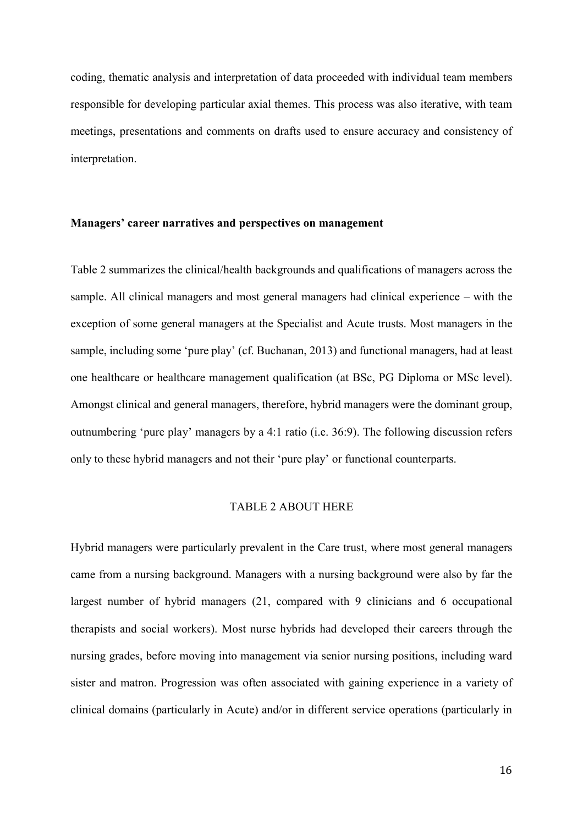coding, thematic analysis and interpretation of data proceeded with individual team members responsible for developing particular axial themes. This process was also iterative, with team meetings, presentations and comments on drafts used to ensure accuracy and consistency of interpretation.

#### **Managers' career narratives and perspectives on management**

Table 2 summarizes the clinical/health backgrounds and qualifications of managers across the sample. All clinical managers and most general managers had clinical experience – with the exception of some general managers at the Specialist and Acute trusts. Most managers in the sample, including some 'pure play' (cf. Buchanan, 2013) and functional managers, had at least one healthcare or healthcare management qualification (at BSc, PG Diploma or MSc level). Amongst clinical and general managers, therefore, hybrid managers were the dominant group, outnumbering 'pure play' managers by a 4:1 ratio (i.e. 36:9). The following discussion refers only to these hybrid managers and not their 'pure play' or functional counterparts.

#### TABLE 2 ABOUT HERE

Hybrid managers were particularly prevalent in the Care trust, where most general managers came from a nursing background. Managers with a nursing background were also by far the largest number of hybrid managers (21, compared with 9 clinicians and 6 occupational therapists and social workers). Most nurse hybrids had developed their careers through the nursing grades, before moving into management via senior nursing positions, including ward sister and matron. Progression was often associated with gaining experience in a variety of clinical domains (particularly in Acute) and/or in different service operations (particularly in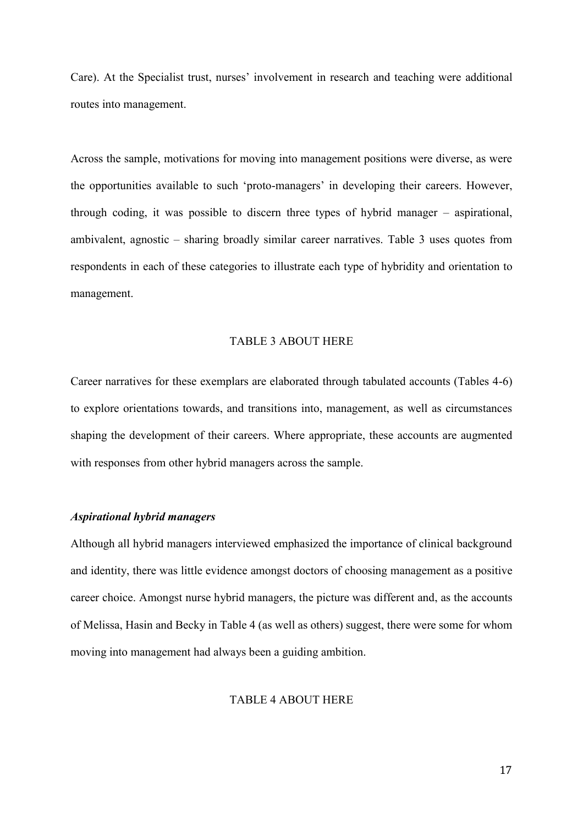Care). At the Specialist trust, nurses' involvement in research and teaching were additional routes into management.

Across the sample, motivations for moving into management positions were diverse, as were the opportunities available to such 'proto-managers' in developing their careers. However, through coding, it was possible to discern three types of hybrid manager – aspirational, ambivalent, agnostic – sharing broadly similar career narratives. Table 3 uses quotes from respondents in each of these categories to illustrate each type of hybridity and orientation to management.

#### TABLE 3 ABOUT HERE

Career narratives for these exemplars are elaborated through tabulated accounts (Tables 4-6) to explore orientations towards, and transitions into, management, as well as circumstances shaping the development of their careers. Where appropriate, these accounts are augmented with responses from other hybrid managers across the sample.

#### *Aspirational hybrid managers*

Although all hybrid managers interviewed emphasized the importance of clinical background and identity, there was little evidence amongst doctors of choosing management as a positive career choice. Amongst nurse hybrid managers, the picture was different and, as the accounts of Melissa, Hasin and Becky in Table 4 (as well as others) suggest, there were some for whom moving into management had always been a guiding ambition.

#### TABLE 4 ABOUT HERE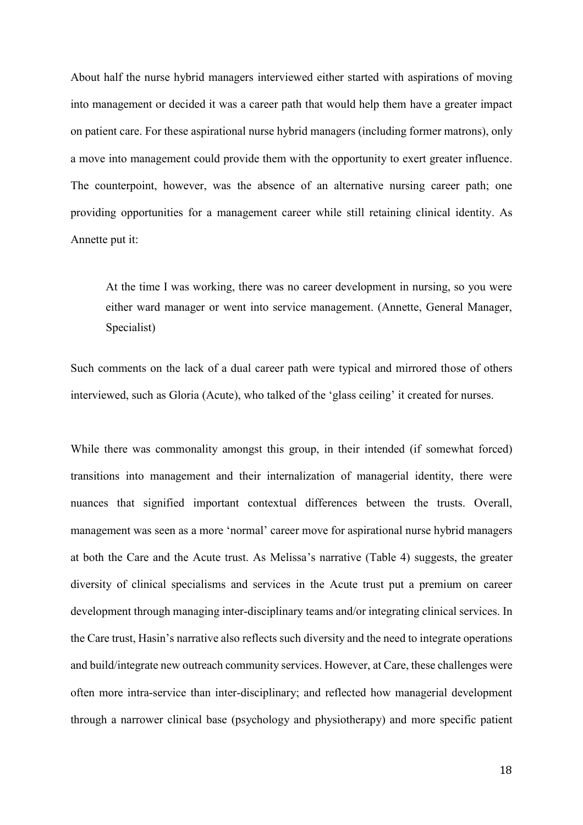About half the nurse hybrid managers interviewed either started with aspirations of moving into management or decided it was a career path that would help them have a greater impact on patient care. For these aspirational nurse hybrid managers (including former matrons), only a move into management could provide them with the opportunity to exert greater influence. The counterpoint, however, was the absence of an alternative nursing career path; one providing opportunities for a management career while still retaining clinical identity. As Annette put it:

At the time I was working, there was no career development in nursing, so you were either ward manager or went into service management. (Annette, General Manager, Specialist)

Such comments on the lack of a dual career path were typical and mirrored those of others interviewed, such as Gloria (Acute), who talked of the 'glass ceiling' it created for nurses.

While there was commonality amongst this group, in their intended (if somewhat forced) transitions into management and their internalization of managerial identity, there were nuances that signified important contextual differences between the trusts. Overall, management was seen as a more 'normal' career move for aspirational nurse hybrid managers at both the Care and the Acute trust. As Melissa's narrative (Table 4) suggests, the greater diversity of clinical specialisms and services in the Acute trust put a premium on career development through managing inter-disciplinary teams and/or integrating clinical services. In the Care trust, Hasin's narrative also reflects such diversity and the need to integrate operations and build/integrate new outreach community services. However, at Care, these challenges were often more intra-service than inter-disciplinary; and reflected how managerial development through a narrower clinical base (psychology and physiotherapy) and more specific patient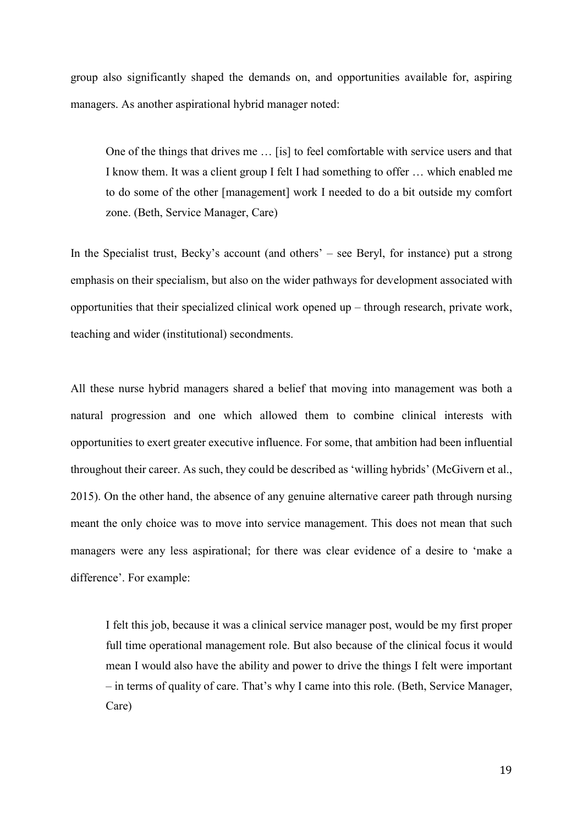group also significantly shaped the demands on, and opportunities available for, aspiring managers. As another aspirational hybrid manager noted:

One of the things that drives me … [is] to feel comfortable with service users and that I know them. It was a client group I felt I had something to offer … which enabled me to do some of the other [management] work I needed to do a bit outside my comfort zone. (Beth, Service Manager, Care)

In the Specialist trust, Becky's account (and others' – see Beryl, for instance) put a strong emphasis on their specialism, but also on the wider pathways for development associated with opportunities that their specialized clinical work opened up – through research, private work, teaching and wider (institutional) secondments.

All these nurse hybrid managers shared a belief that moving into management was both a natural progression and one which allowed them to combine clinical interests with opportunities to exert greater executive influence. For some, that ambition had been influential throughout their career. As such, they could be described as 'willing hybrids' (McGivern et al., 2015). On the other hand, the absence of any genuine alternative career path through nursing meant the only choice was to move into service management. This does not mean that such managers were any less aspirational; for there was clear evidence of a desire to 'make a difference'. For example:

I felt this job, because it was a clinical service manager post, would be my first proper full time operational management role. But also because of the clinical focus it would mean I would also have the ability and power to drive the things I felt were important – in terms of quality of care. That's why I came into this role. (Beth, Service Manager, Care)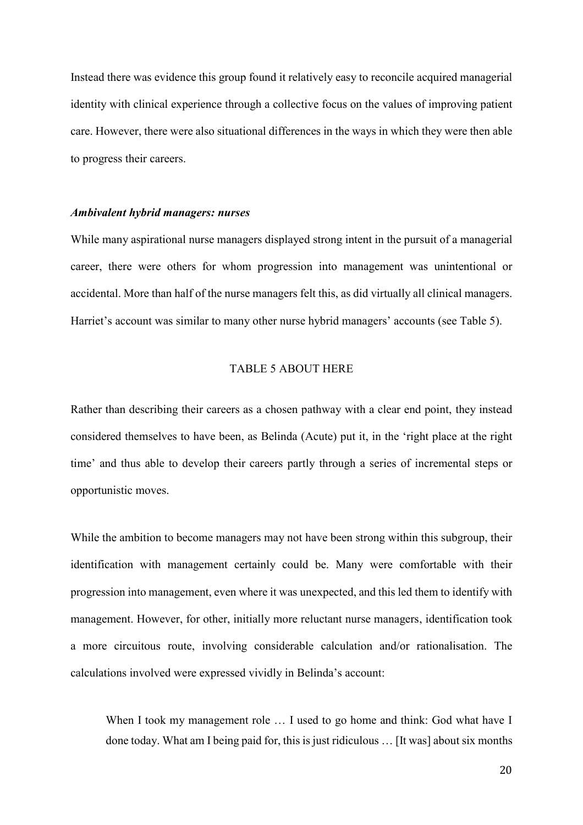Instead there was evidence this group found it relatively easy to reconcile acquired managerial identity with clinical experience through a collective focus on the values of improving patient care. However, there were also situational differences in the ways in which they were then able to progress their careers.

#### *Ambivalent hybrid managers: nurses*

While many aspirational nurse managers displayed strong intent in the pursuit of a managerial career, there were others for whom progression into management was unintentional or accidental. More than half of the nurse managers felt this, as did virtually all clinical managers. Harriet's account was similar to many other nurse hybrid managers' accounts (see Table 5).

#### TABLE 5 ABOUT HERE

Rather than describing their careers as a chosen pathway with a clear end point, they instead considered themselves to have been, as Belinda (Acute) put it, in the 'right place at the right time' and thus able to develop their careers partly through a series of incremental steps or opportunistic moves.

While the ambition to become managers may not have been strong within this subgroup, their identification with management certainly could be. Many were comfortable with their progression into management, even where it was unexpected, and this led them to identify with management. However, for other, initially more reluctant nurse managers, identification took a more circuitous route, involving considerable calculation and/or rationalisation. The calculations involved were expressed vividly in Belinda's account:

When I took my management role ... I used to go home and think: God what have I done today. What am I being paid for, this is just ridiculous … [It was] about six months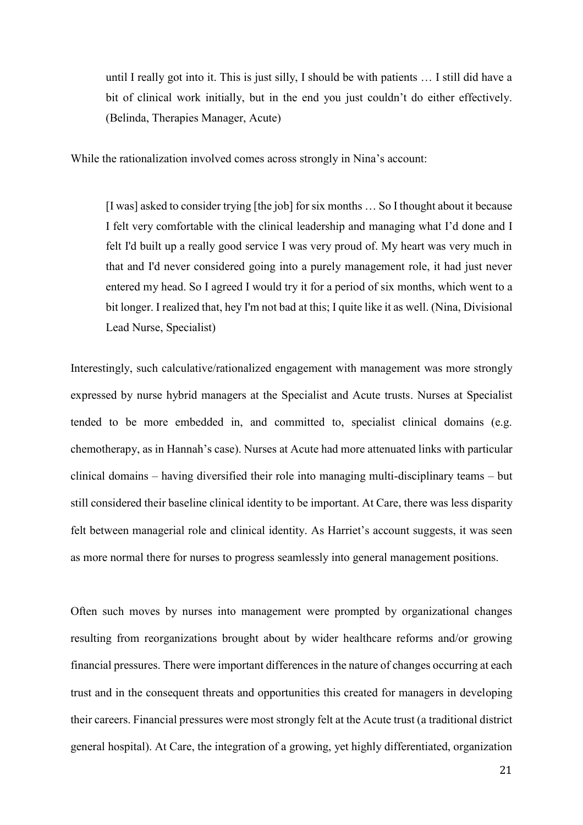until I really got into it. This is just silly, I should be with patients … I still did have a bit of clinical work initially, but in the end you just couldn't do either effectively. (Belinda, Therapies Manager, Acute)

While the rationalization involved comes across strongly in Nina's account:

[I was] asked to consider trying [the job] for six months … So I thought about it because I felt very comfortable with the clinical leadership and managing what I'd done and I felt I'd built up a really good service I was very proud of. My heart was very much in that and I'd never considered going into a purely management role, it had just never entered my head. So I agreed I would try it for a period of six months, which went to a bit longer. I realized that, hey I'm not bad at this; I quite like it as well. (Nina, Divisional Lead Nurse, Specialist)

Interestingly, such calculative/rationalized engagement with management was more strongly expressed by nurse hybrid managers at the Specialist and Acute trusts. Nurses at Specialist tended to be more embedded in, and committed to, specialist clinical domains (e.g. chemotherapy, as in Hannah's case). Nurses at Acute had more attenuated links with particular clinical domains – having diversified their role into managing multi-disciplinary teams – but still considered their baseline clinical identity to be important. At Care, there was less disparity felt between managerial role and clinical identity. As Harriet's account suggests, it was seen as more normal there for nurses to progress seamlessly into general management positions.

Often such moves by nurses into management were prompted by organizational changes resulting from reorganizations brought about by wider healthcare reforms and/or growing financial pressures. There were important differences in the nature of changes occurring at each trust and in the consequent threats and opportunities this created for managers in developing their careers. Financial pressures were most strongly felt at the Acute trust (a traditional district general hospital). At Care, the integration of a growing, yet highly differentiated, organization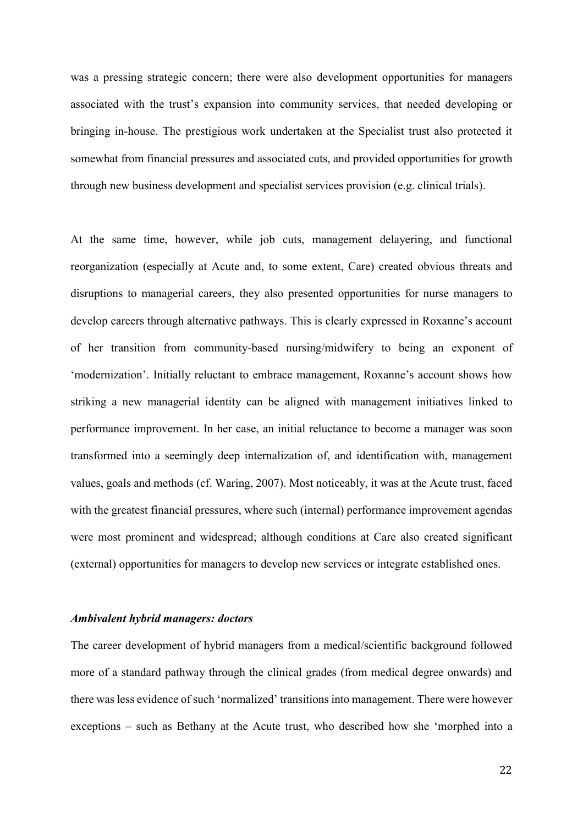was a pressing strategic concern; there were also development opportunities for managers associated with the trust's expansion into community services, that needed developing or bringing in-house. The prestigious work undertaken at the Specialist trust also protected it somewhat from financial pressures and associated cuts, and provided opportunities for growth through new business development and specialist services provision (e.g. clinical trials).

At the same time, however, while job cuts, management delayering, and functional reorganization (especially at Acute and, to some extent, Care) created obvious threats and disruptions to managerial careers, they also presented opportunities for nurse managers to develop careers through alternative pathways. This is clearly expressed in Roxanne's account of her transition from community-based nursing/midwifery to being an exponent of 'modernization'. Initially reluctant to embrace management, Roxanne's account shows how striking a new managerial identity can be aligned with management initiatives linked to performance improvement. In her case, an initial reluctance to become a manager was soon transformed into a seemingly deep internalization of, and identification with, management values, goals and methods (cf. Waring, 2007). Most noticeably, it was at the Acute trust, faced with the greatest financial pressures, where such (internal) performance improvement agendas were most prominent and widespread; although conditions at Care also created significant (external) opportunities for managers to develop new services or integrate established ones.

#### *Ambivalent hybrid managers: doctors*

The career development of hybrid managers from a medical/scientific background followed more of a standard pathway through the clinical grades (from medical degree onwards) and there was less evidence of such 'normalized' transitions into management. There were however exceptions – such as Bethany at the Acute trust, who described how she 'morphed into a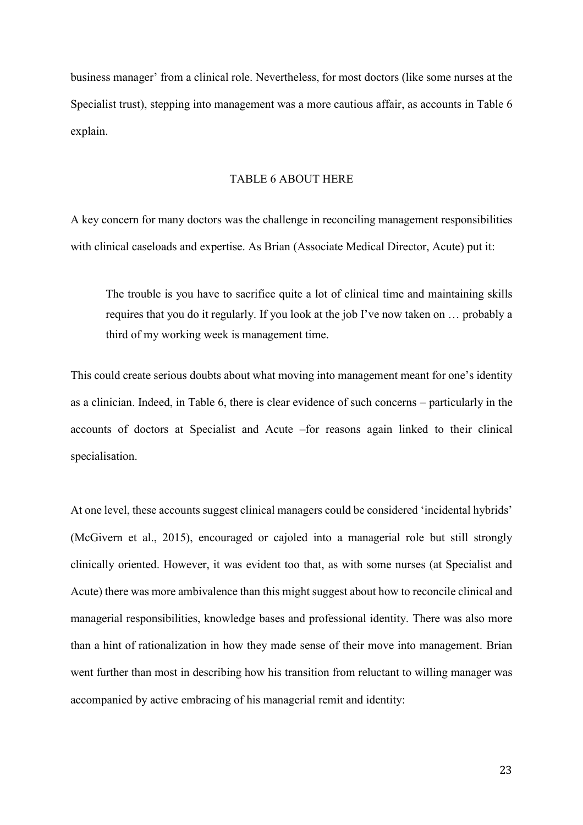business manager' from a clinical role. Nevertheless, for most doctors (like some nurses at the Specialist trust), stepping into management was a more cautious affair, as accounts in Table 6 explain.

#### TABLE 6 ABOUT HERE

A key concern for many doctors was the challenge in reconciling management responsibilities with clinical caseloads and expertise. As Brian (Associate Medical Director, Acute) put it:

The trouble is you have to sacrifice quite a lot of clinical time and maintaining skills requires that you do it regularly. If you look at the job I've now taken on … probably a third of my working week is management time.

This could create serious doubts about what moving into management meant for one's identity as a clinician. Indeed, in Table 6, there is clear evidence of such concerns – particularly in the accounts of doctors at Specialist and Acute –for reasons again linked to their clinical specialisation.

At one level, these accounts suggest clinical managers could be considered 'incidental hybrids' (McGivern et al., 2015), encouraged or cajoled into a managerial role but still strongly clinically oriented. However, it was evident too that, as with some nurses (at Specialist and Acute) there was more ambivalence than this might suggest about how to reconcile clinical and managerial responsibilities, knowledge bases and professional identity. There was also more than a hint of rationalization in how they made sense of their move into management. Brian went further than most in describing how his transition from reluctant to willing manager was accompanied by active embracing of his managerial remit and identity: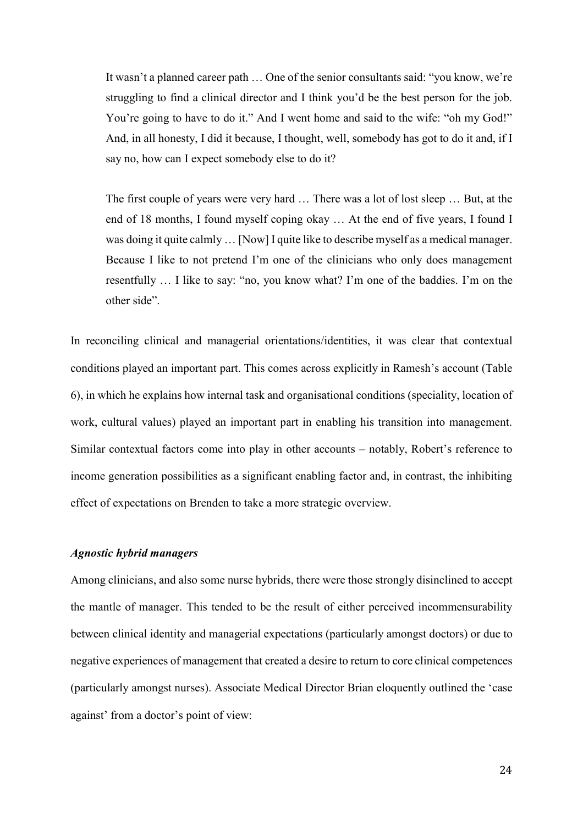It wasn't a planned career path … One of the senior consultants said: "you know, we're struggling to find a clinical director and I think you'd be the best person for the job. You're going to have to do it." And I went home and said to the wife: "oh my God!" And, in all honesty, I did it because, I thought, well, somebody has got to do it and, if I say no, how can I expect somebody else to do it?

The first couple of years were very hard … There was a lot of lost sleep … But, at the end of 18 months, I found myself coping okay … At the end of five years, I found I was doing it quite calmly … [Now] I quite like to describe myself as a medical manager. Because I like to not pretend I'm one of the clinicians who only does management resentfully … I like to say: "no, you know what? I'm one of the baddies. I'm on the other side".

In reconciling clinical and managerial orientations/identities, it was clear that contextual conditions played an important part. This comes across explicitly in Ramesh's account (Table 6), in which he explains how internal task and organisational conditions (speciality, location of work, cultural values) played an important part in enabling his transition into management. Similar contextual factors come into play in other accounts – notably, Robert's reference to income generation possibilities as a significant enabling factor and, in contrast, the inhibiting effect of expectations on Brenden to take a more strategic overview.

#### *Agnostic hybrid managers*

Among clinicians, and also some nurse hybrids, there were those strongly disinclined to accept the mantle of manager. This tended to be the result of either perceived incommensurability between clinical identity and managerial expectations (particularly amongst doctors) or due to negative experiences of management that created a desire to return to core clinical competences (particularly amongst nurses). Associate Medical Director Brian eloquently outlined the 'case against' from a doctor's point of view: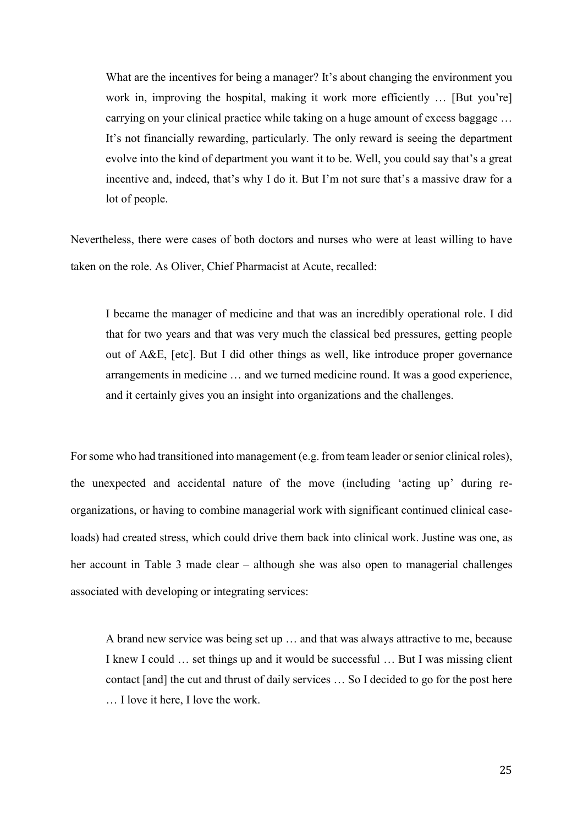What are the incentives for being a manager? It's about changing the environment you work in, improving the hospital, making it work more efficiently ... [But you're] carrying on your clinical practice while taking on a huge amount of excess baggage … It's not financially rewarding, particularly. The only reward is seeing the department evolve into the kind of department you want it to be. Well, you could say that's a great incentive and, indeed, that's why I do it. But I'm not sure that's a massive draw for a lot of people.

Nevertheless, there were cases of both doctors and nurses who were at least willing to have taken on the role. As Oliver, Chief Pharmacist at Acute, recalled:

I became the manager of medicine and that was an incredibly operational role. I did that for two years and that was very much the classical bed pressures, getting people out of A&E, [etc]. But I did other things as well, like introduce proper governance arrangements in medicine … and we turned medicine round. It was a good experience, and it certainly gives you an insight into organizations and the challenges.

For some who had transitioned into management (e.g. from team leader or senior clinical roles), the unexpected and accidental nature of the move (including 'acting up' during reorganizations, or having to combine managerial work with significant continued clinical caseloads) had created stress, which could drive them back into clinical work. Justine was one, as her account in Table 3 made clear – although she was also open to managerial challenges associated with developing or integrating services:

A brand new service was being set up … and that was always attractive to me, because I knew I could … set things up and it would be successful … But I was missing client contact [and] the cut and thrust of daily services … So I decided to go for the post here … I love it here, I love the work.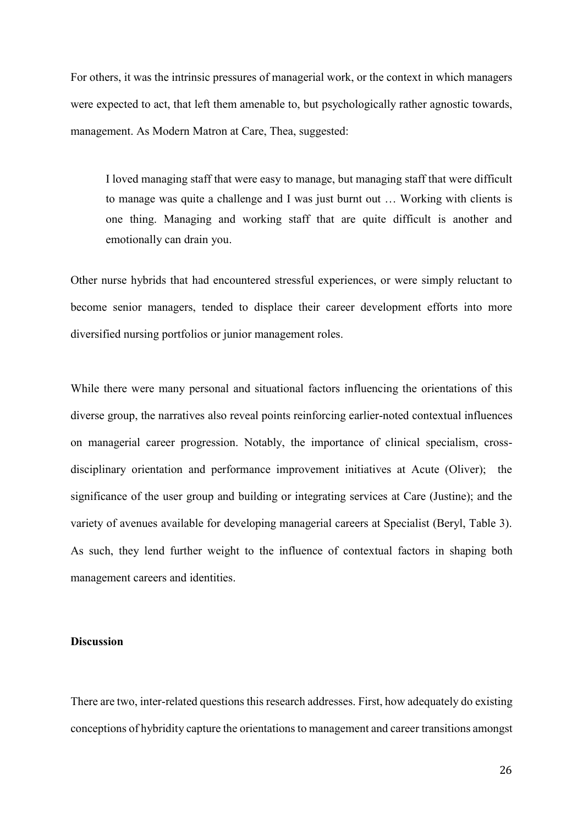For others, it was the intrinsic pressures of managerial work, or the context in which managers were expected to act, that left them amenable to, but psychologically rather agnostic towards, management. As Modern Matron at Care, Thea, suggested:

I loved managing staff that were easy to manage, but managing staff that were difficult to manage was quite a challenge and I was just burnt out … Working with clients is one thing. Managing and working staff that are quite difficult is another and emotionally can drain you.

Other nurse hybrids that had encountered stressful experiences, or were simply reluctant to become senior managers, tended to displace their career development efforts into more diversified nursing portfolios or junior management roles.

While there were many personal and situational factors influencing the orientations of this diverse group, the narratives also reveal points reinforcing earlier-noted contextual influences on managerial career progression. Notably, the importance of clinical specialism, crossdisciplinary orientation and performance improvement initiatives at Acute (Oliver); the significance of the user group and building or integrating services at Care (Justine); and the variety of avenues available for developing managerial careers at Specialist (Beryl, Table 3). As such, they lend further weight to the influence of contextual factors in shaping both management careers and identities.

#### **Discussion**

There are two, inter-related questions this research addresses. First, how adequately do existing conceptions of hybridity capture the orientations to management and career transitions amongst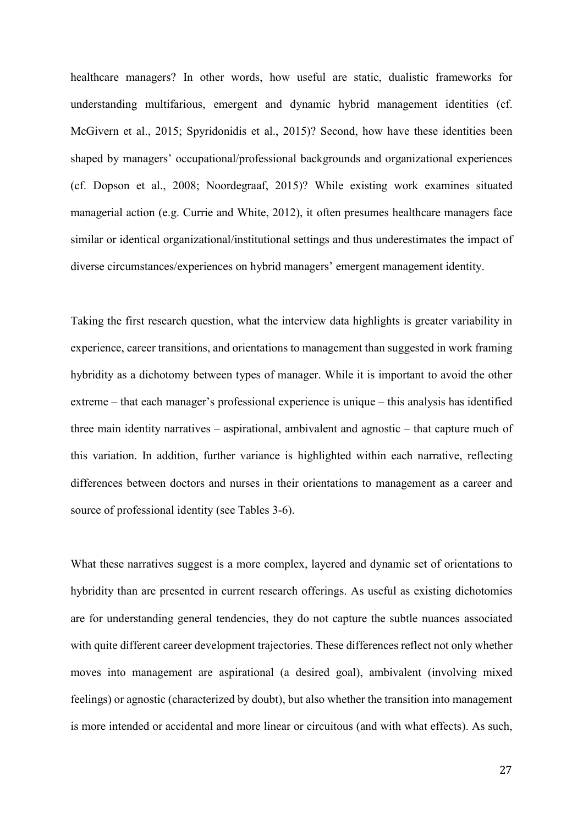healthcare managers? In other words, how useful are static, dualistic frameworks for understanding multifarious, emergent and dynamic hybrid management identities (cf. McGivern et al., 2015; Spyridonidis et al., 2015)? Second, how have these identities been shaped by managers' occupational/professional backgrounds and organizational experiences (cf. Dopson et al., 2008; Noordegraaf, 2015)? While existing work examines situated managerial action (e.g. Currie and White, 2012), it often presumes healthcare managers face similar or identical organizational/institutional settings and thus underestimates the impact of diverse circumstances/experiences on hybrid managers' emergent management identity.

Taking the first research question, what the interview data highlights is greater variability in experience, career transitions, and orientations to management than suggested in work framing hybridity as a dichotomy between types of manager. While it is important to avoid the other extreme – that each manager's professional experience is unique – this analysis has identified three main identity narratives – aspirational, ambivalent and agnostic – that capture much of this variation. In addition, further variance is highlighted within each narrative, reflecting differences between doctors and nurses in their orientations to management as a career and source of professional identity (see Tables 3-6).

What these narratives suggest is a more complex, layered and dynamic set of orientations to hybridity than are presented in current research offerings. As useful as existing dichotomies are for understanding general tendencies, they do not capture the subtle nuances associated with quite different career development trajectories. These differences reflect not only whether moves into management are aspirational (a desired goal), ambivalent (involving mixed feelings) or agnostic (characterized by doubt), but also whether the transition into management is more intended or accidental and more linear or circuitous (and with what effects). As such,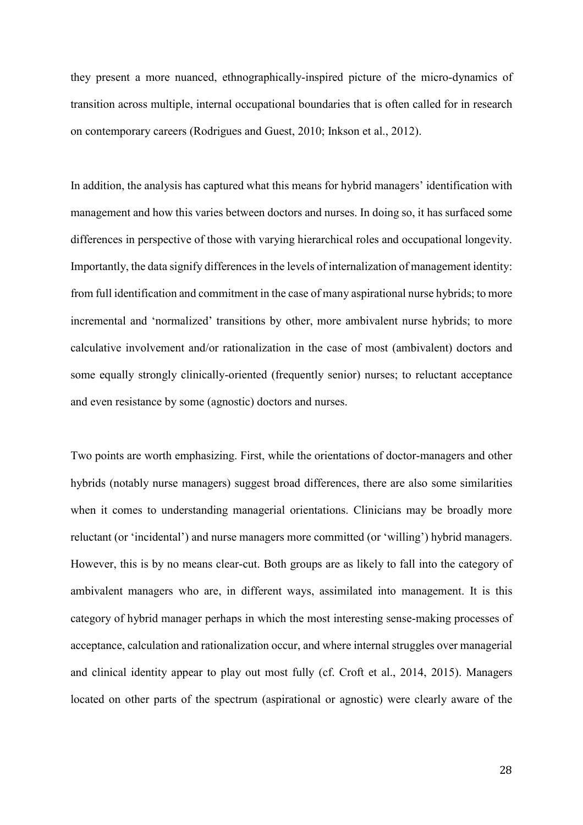they present a more nuanced, ethnographically-inspired picture of the micro-dynamics of transition across multiple, internal occupational boundaries that is often called for in research on contemporary careers (Rodrigues and Guest, 2010; Inkson et al., 2012).

In addition, the analysis has captured what this means for hybrid managers' identification with management and how this varies between doctors and nurses. In doing so, it has surfaced some differences in perspective of those with varying hierarchical roles and occupational longevity. Importantly, the data signify differences in the levels of internalization of management identity: from full identification and commitment in the case of many aspirational nurse hybrids; to more incremental and 'normalized' transitions by other, more ambivalent nurse hybrids; to more calculative involvement and/or rationalization in the case of most (ambivalent) doctors and some equally strongly clinically-oriented (frequently senior) nurses; to reluctant acceptance and even resistance by some (agnostic) doctors and nurses.

Two points are worth emphasizing. First, while the orientations of doctor-managers and other hybrids (notably nurse managers) suggest broad differences, there are also some similarities when it comes to understanding managerial orientations. Clinicians may be broadly more reluctant (or 'incidental') and nurse managers more committed (or 'willing') hybrid managers. However, this is by no means clear-cut. Both groups are as likely to fall into the category of ambivalent managers who are, in different ways, assimilated into management. It is this category of hybrid manager perhaps in which the most interesting sense-making processes of acceptance, calculation and rationalization occur, and where internal struggles over managerial and clinical identity appear to play out most fully (cf. Croft et al., 2014, 2015). Managers located on other parts of the spectrum (aspirational or agnostic) were clearly aware of the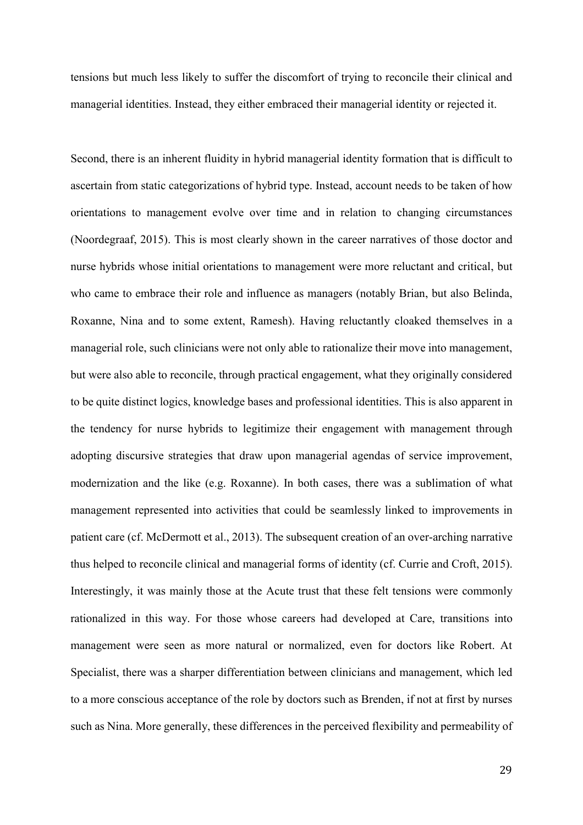tensions but much less likely to suffer the discomfort of trying to reconcile their clinical and managerial identities. Instead, they either embraced their managerial identity or rejected it.

Second, there is an inherent fluidity in hybrid managerial identity formation that is difficult to ascertain from static categorizations of hybrid type. Instead, account needs to be taken of how orientations to management evolve over time and in relation to changing circumstances (Noordegraaf, 2015). This is most clearly shown in the career narratives of those doctor and nurse hybrids whose initial orientations to management were more reluctant and critical, but who came to embrace their role and influence as managers (notably Brian, but also Belinda, Roxanne, Nina and to some extent, Ramesh). Having reluctantly cloaked themselves in a managerial role, such clinicians were not only able to rationalize their move into management, but were also able to reconcile, through practical engagement, what they originally considered to be quite distinct logics, knowledge bases and professional identities. This is also apparent in the tendency for nurse hybrids to legitimize their engagement with management through adopting discursive strategies that draw upon managerial agendas of service improvement, modernization and the like (e.g. Roxanne). In both cases, there was a sublimation of what management represented into activities that could be seamlessly linked to improvements in patient care (cf. McDermott et al., 2013). The subsequent creation of an over-arching narrative thus helped to reconcile clinical and managerial forms of identity (cf. Currie and Croft, 2015). Interestingly, it was mainly those at the Acute trust that these felt tensions were commonly rationalized in this way. For those whose careers had developed at Care, transitions into management were seen as more natural or normalized, even for doctors like Robert. At Specialist, there was a sharper differentiation between clinicians and management, which led to a more conscious acceptance of the role by doctors such as Brenden, if not at first by nurses such as Nina. More generally, these differences in the perceived flexibility and permeability of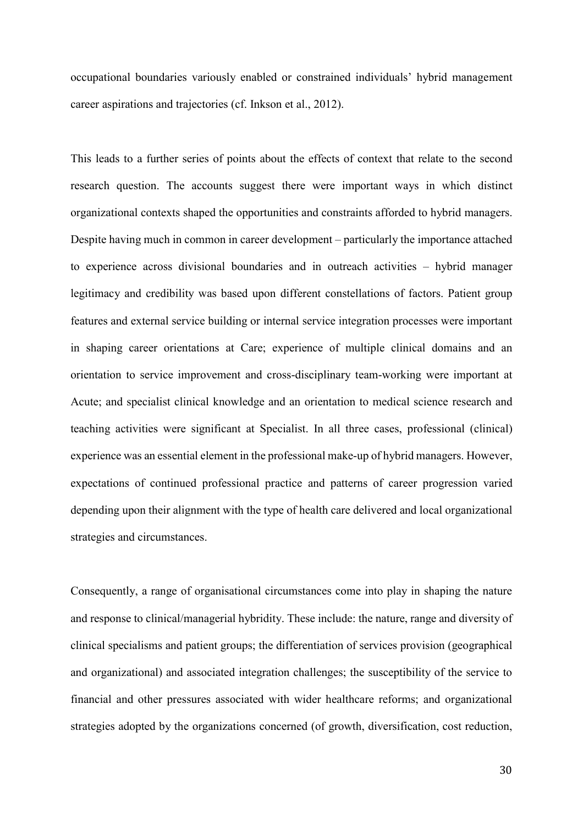occupational boundaries variously enabled or constrained individuals' hybrid management career aspirations and trajectories (cf. Inkson et al., 2012).

This leads to a further series of points about the effects of context that relate to the second research question. The accounts suggest there were important ways in which distinct organizational contexts shaped the opportunities and constraints afforded to hybrid managers. Despite having much in common in career development – particularly the importance attached to experience across divisional boundaries and in outreach activities – hybrid manager legitimacy and credibility was based upon different constellations of factors. Patient group features and external service building or internal service integration processes were important in shaping career orientations at Care; experience of multiple clinical domains and an orientation to service improvement and cross-disciplinary team-working were important at Acute; and specialist clinical knowledge and an orientation to medical science research and teaching activities were significant at Specialist. In all three cases, professional (clinical) experience was an essential element in the professional make-up of hybrid managers. However, expectations of continued professional practice and patterns of career progression varied depending upon their alignment with the type of health care delivered and local organizational strategies and circumstances.

Consequently, a range of organisational circumstances come into play in shaping the nature and response to clinical/managerial hybridity. These include: the nature, range and diversity of clinical specialisms and patient groups; the differentiation of services provision (geographical and organizational) and associated integration challenges; the susceptibility of the service to financial and other pressures associated with wider healthcare reforms; and organizational strategies adopted by the organizations concerned (of growth, diversification, cost reduction,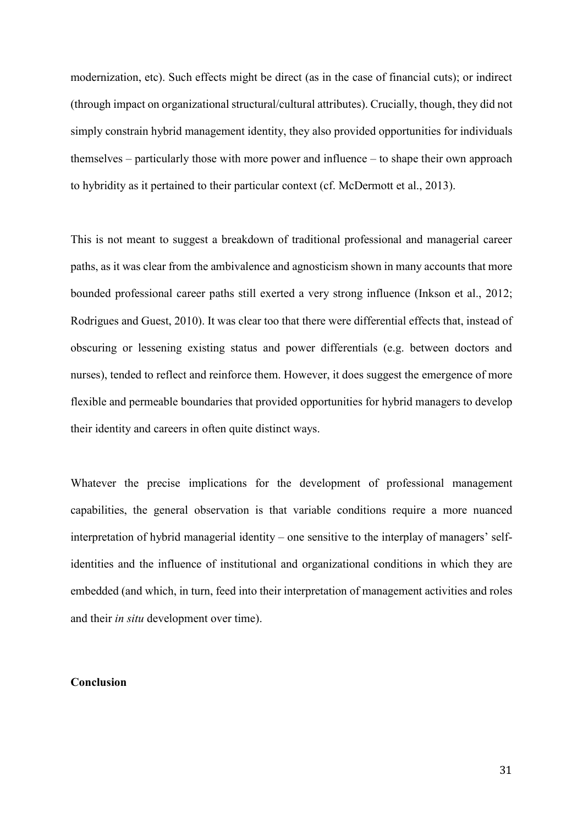modernization, etc). Such effects might be direct (as in the case of financial cuts); or indirect (through impact on organizational structural/cultural attributes). Crucially, though, they did not simply constrain hybrid management identity, they also provided opportunities for individuals themselves – particularly those with more power and influence – to shape their own approach to hybridity as it pertained to their particular context (cf. McDermott et al., 2013).

This is not meant to suggest a breakdown of traditional professional and managerial career paths, as it was clear from the ambivalence and agnosticism shown in many accounts that more bounded professional career paths still exerted a very strong influence (Inkson et al., 2012; Rodrigues and Guest, 2010). It was clear too that there were differential effects that, instead of obscuring or lessening existing status and power differentials (e.g. between doctors and nurses), tended to reflect and reinforce them. However, it does suggest the emergence of more flexible and permeable boundaries that provided opportunities for hybrid managers to develop their identity and careers in often quite distinct ways.

Whatever the precise implications for the development of professional management capabilities, the general observation is that variable conditions require a more nuanced interpretation of hybrid managerial identity – one sensitive to the interplay of managers' selfidentities and the influence of institutional and organizational conditions in which they are embedded (and which, in turn, feed into their interpretation of management activities and roles and their *in situ* development over time).

#### **Conclusion**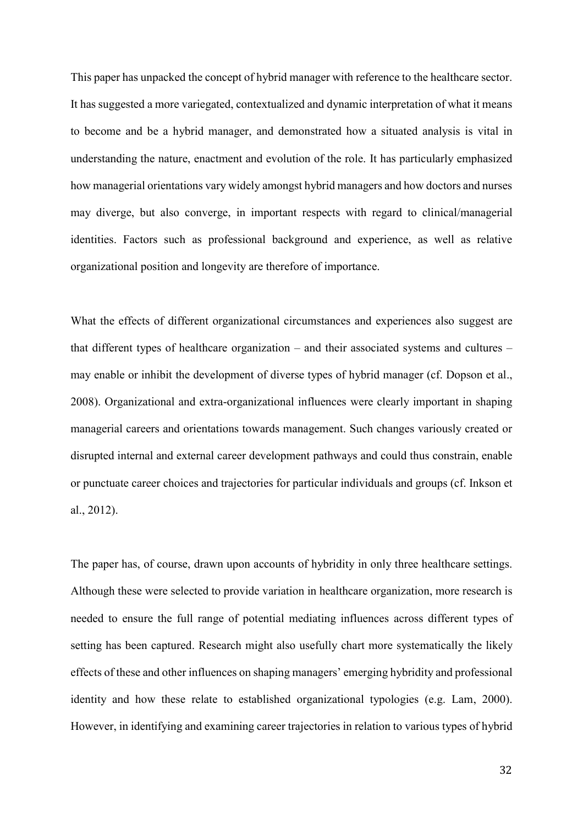This paper has unpacked the concept of hybrid manager with reference to the healthcare sector. It has suggested a more variegated, contextualized and dynamic interpretation of what it means to become and be a hybrid manager, and demonstrated how a situated analysis is vital in understanding the nature, enactment and evolution of the role. It has particularly emphasized how managerial orientations vary widely amongst hybrid managers and how doctors and nurses may diverge, but also converge, in important respects with regard to clinical/managerial identities. Factors such as professional background and experience, as well as relative organizational position and longevity are therefore of importance.

What the effects of different organizational circumstances and experiences also suggest are that different types of healthcare organization – and their associated systems and cultures – may enable or inhibit the development of diverse types of hybrid manager (cf. Dopson et al., 2008). Organizational and extra-organizational influences were clearly important in shaping managerial careers and orientations towards management. Such changes variously created or disrupted internal and external career development pathways and could thus constrain, enable or punctuate career choices and trajectories for particular individuals and groups (cf. Inkson et al., 2012).

The paper has, of course, drawn upon accounts of hybridity in only three healthcare settings. Although these were selected to provide variation in healthcare organization, more research is needed to ensure the full range of potential mediating influences across different types of setting has been captured. Research might also usefully chart more systematically the likely effects of these and other influences on shaping managers' emerging hybridity and professional identity and how these relate to established organizational typologies (e.g. Lam, 2000). However, in identifying and examining career trajectories in relation to various types of hybrid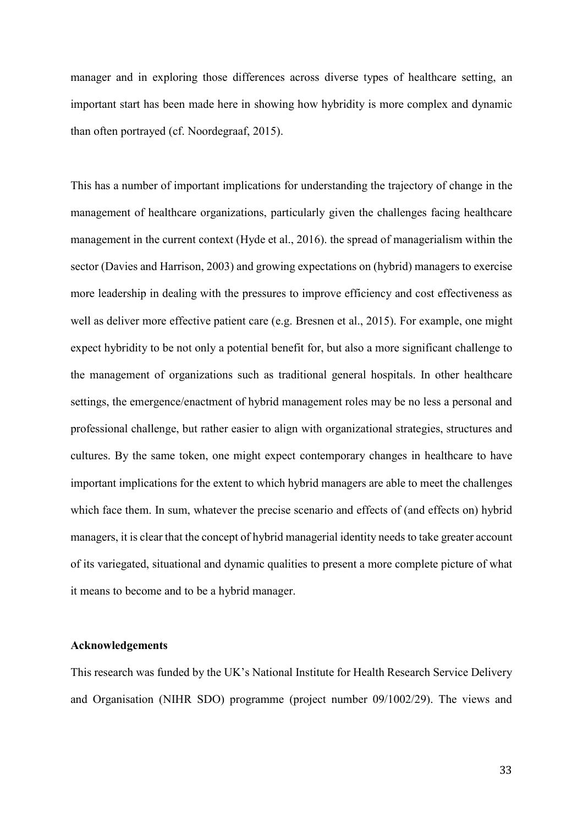manager and in exploring those differences across diverse types of healthcare setting, an important start has been made here in showing how hybridity is more complex and dynamic than often portrayed (cf. Noordegraaf, 2015).

This has a number of important implications for understanding the trajectory of change in the management of healthcare organizations, particularly given the challenges facing healthcare management in the current context (Hyde et al., 2016). the spread of managerialism within the sector (Davies and Harrison, 2003) and growing expectations on (hybrid) managers to exercise more leadership in dealing with the pressures to improve efficiency and cost effectiveness as well as deliver more effective patient care (e.g. Bresnen et al., 2015). For example, one might expect hybridity to be not only a potential benefit for, but also a more significant challenge to the management of organizations such as traditional general hospitals. In other healthcare settings, the emergence/enactment of hybrid management roles may be no less a personal and professional challenge, but rather easier to align with organizational strategies, structures and cultures. By the same token, one might expect contemporary changes in healthcare to have important implications for the extent to which hybrid managers are able to meet the challenges which face them. In sum, whatever the precise scenario and effects of (and effects on) hybrid managers, it is clear that the concept of hybrid managerial identity needs to take greater account of its variegated, situational and dynamic qualities to present a more complete picture of what it means to become and to be a hybrid manager.

#### **Acknowledgements**

This research was funded by the UK's National Institute for Health Research Service Delivery and Organisation (NIHR SDO) programme (project number 09/1002/29). The views and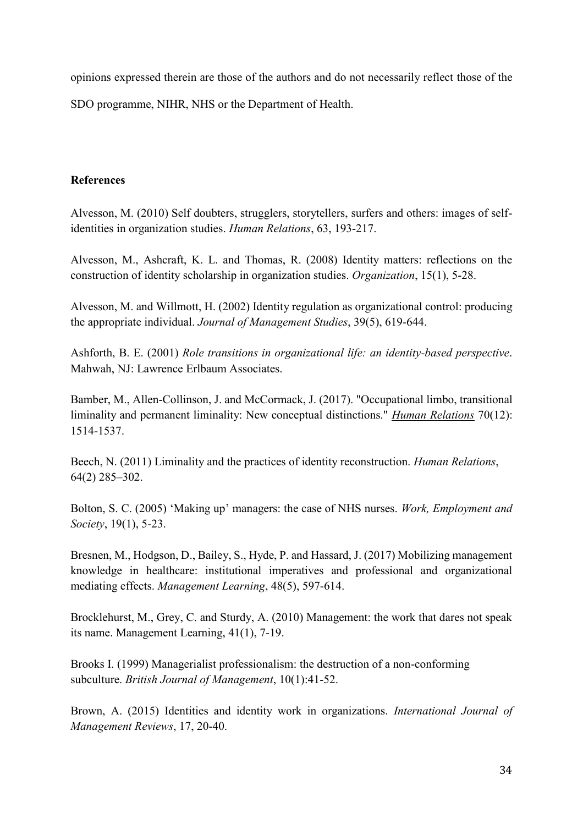opinions expressed therein are those of the authors and do not necessarily reflect those of the SDO programme, NIHR, NHS or the Department of Health.

#### **References**

Alvesson, M. (2010) Self doubters, strugglers, storytellers, surfers and others: images of selfidentities in organization studies. *Human Relations*, 63, 193-217.

Alvesson, M., Ashcraft, K. L. and Thomas, R. (2008) Identity matters: reflections on the construction of identity scholarship in organization studies. *Organization*, 15(1), 5-28.

Alvesson, M. and Willmott, H. (2002) Identity regulation as organizational control: producing the appropriate individual. *Journal of Management Studies*, 39(5), 619-644.

Ashforth, B. E. (2001) *Role transitions in organizational life: an identity-based perspective*. Mahwah, NJ: Lawrence Erlbaum Associates.

Bamber, M., Allen-Collinson, J. and McCormack, J. (2017). "Occupational limbo, transitional liminality and permanent liminality: New conceptual distinctions." *Human Relations* 70(12): 1514-1537.

Beech, N. (2011) Liminality and the practices of identity reconstruction. *Human Relations*, 64(2) 285–302.

Bolton, S. C. (2005) 'Making up' managers: the case of NHS nurses. *Work, Employment and Society*, 19(1), 5-23.

Bresnen, M., Hodgson, D., Bailey, S., Hyde, P. and Hassard, J. (2017) Mobilizing management knowledge in healthcare: institutional imperatives and professional and organizational mediating effects. *Management Learning*, 48(5), 597-614.

Brocklehurst, M., Grey, C. and Sturdy, A. (2010) Management: the work that dares not speak its name. Management Learning, 41(1), 7-19.

Brooks I. (1999) Managerialist professionalism: the destruction of a non-conforming subculture. *British Journal of Management*, 10(1):41-52.

Brown, A. (2015) Identities and identity work in organizations. *International Journal of Management Reviews*, 17, 20-40.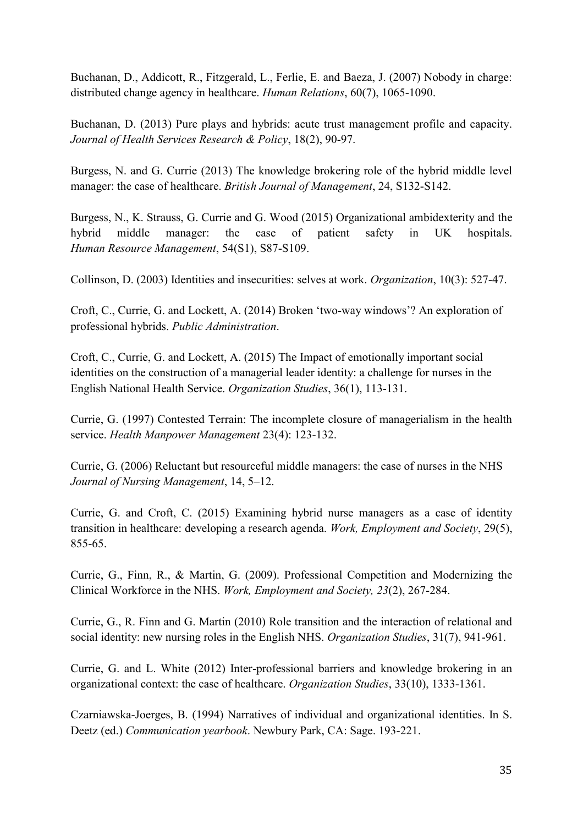Buchanan, D., Addicott, R., Fitzgerald, L., Ferlie, E. and Baeza, J. (2007) Nobody in charge: distributed change agency in healthcare. *Human Relations*, 60(7), 1065-1090.

Buchanan, D. (2013) Pure plays and hybrids: acute trust management profile and capacity. *Journal of Health Services Research & Policy*, 18(2), 90-97.

Burgess, N. and G. Currie (2013) The knowledge brokering role of the hybrid middle level manager: the case of healthcare. *British Journal of Management*, 24, S132-S142.

Burgess, N., K. Strauss, G. Currie and G. Wood (2015) Organizational ambidexterity and the hybrid middle manager: the case of patient safety in UK hospitals. *Human Resource Management*, 54(S1), S87-S109.

Collinson, D. (2003) Identities and insecurities: selves at work. *Organization*, 10(3): 527-47.

Croft, C., Currie, G. and Lockett, A. (2014) Broken 'two-way windows'? An exploration of professional hybrids. *Public Administration*.

Croft, C., Currie, G. and Lockett, A. (2015) The Impact of emotionally important social identities on the construction of a managerial leader identity: a challenge for nurses in the English National Health Service. *Organization Studies*, 36(1), 113-131.

Currie, G. (1997) Contested Terrain: The incomplete closure of managerialism in the health service. *Health Manpower Management* 23(4): 123-132.

Currie, G. (2006) Reluctant but resourceful middle managers: the case of nurses in the NHS *Journal of Nursing Management*, 14, 5–12.

Currie, G. and Croft, C. (2015) Examining hybrid nurse managers as a case of identity transition in healthcare: developing a research agenda. *Work, Employment and Society*, 29(5), 855-65.

Currie, G., Finn, R., & Martin, G. (2009). Professional Competition and Modernizing the Clinical Workforce in the NHS. *Work, Employment and Society, 23*(2), 267-284.

Currie, G., R. Finn and G. Martin (2010) Role transition and the interaction of relational and social identity: new nursing roles in the English NHS. *Organization Studies*, 31(7), 941-961.

Currie, G. and L. White (2012) Inter-professional barriers and knowledge brokering in an organizational context: the case of healthcare. *Organization Studies*, 33(10), 1333-1361.

Czarniawska-Joerges, B. (1994) Narratives of individual and organizational identities. In S. Deetz (ed.) *Communication yearbook*. Newbury Park, CA: Sage. 193-221.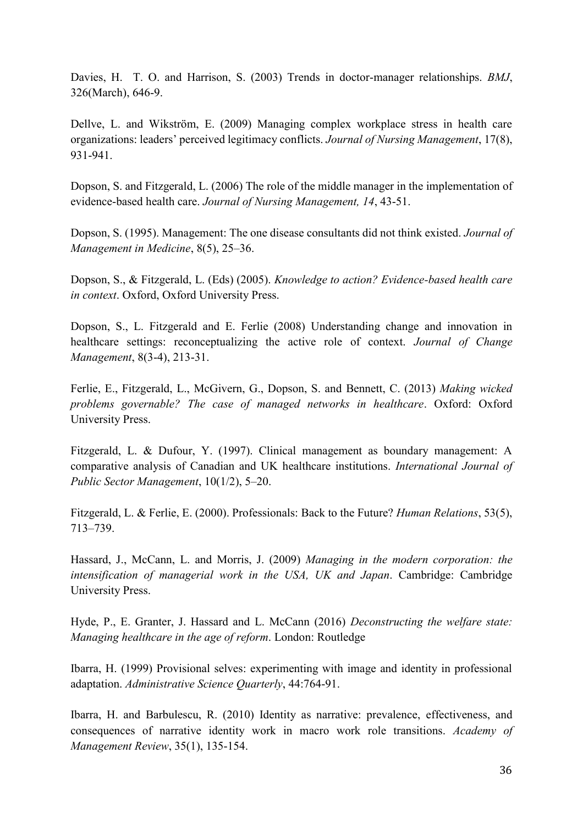Davies, H. T. O. and Harrison, S. (2003) Trends in doctor-manager relationships. *BMJ*, 326(March), 646-9.

Dellve, L. and Wikström, E. (2009) Managing complex workplace stress in health care organizations: leaders' perceived legitimacy conflicts. *Journal of Nursing Management*, 17(8), 931-941.

Dopson, S. and Fitzgerald, L. (2006) The role of the middle manager in the implementation of evidence-based health care. *Journal of Nursing Management, 14*, 43-51.

Dopson, S. (1995). Management: The one disease consultants did not think existed. *Journal of Management in Medicine*, 8(5), 25–36.

Dopson, S., & Fitzgerald, L. (Eds) (2005). *Knowledge to action? Evidence-based health care in context*. Oxford, Oxford University Press.

Dopson, S., L. Fitzgerald and E. Ferlie (2008) Understanding change and innovation in healthcare settings: reconceptualizing the active role of context. *Journal of Change Management*, 8(3-4), 213-31.

Ferlie, E., Fitzgerald, L., McGivern, G., Dopson, S. and Bennett, C. (2013) *Making wicked problems governable? The case of managed networks in healthcare*. Oxford: Oxford University Press.

Fitzgerald, L. & Dufour, Y. (1997). Clinical management as boundary management: A comparative analysis of Canadian and UK healthcare institutions. *International Journal of Public Sector Management*, 10(1/2), 5–20.

Fitzgerald, L. & Ferlie, E. (2000). Professionals: Back to the Future? *Human Relations*, 53(5), 713–739.

Hassard, J., McCann, L. and Morris, J. (2009) *Managing in the modern corporation: the intensification of managerial work in the USA, UK and Japan*. Cambridge: Cambridge University Press.

Hyde, P., E. Granter, J. Hassard and L. McCann (2016) *Deconstructing the welfare state: Managing healthcare in the age of reform*. London: Routledge

Ibarra, H. (1999) Provisional selves: experimenting with image and identity in professional adaptation. *Administrative Science Quarterly*, 44:764-91.

Ibarra, H. and Barbulescu, R. (2010) Identity as narrative: prevalence, effectiveness, and consequences of narrative identity work in macro work role transitions. *Academy of Management Review*, 35(1), 135-154.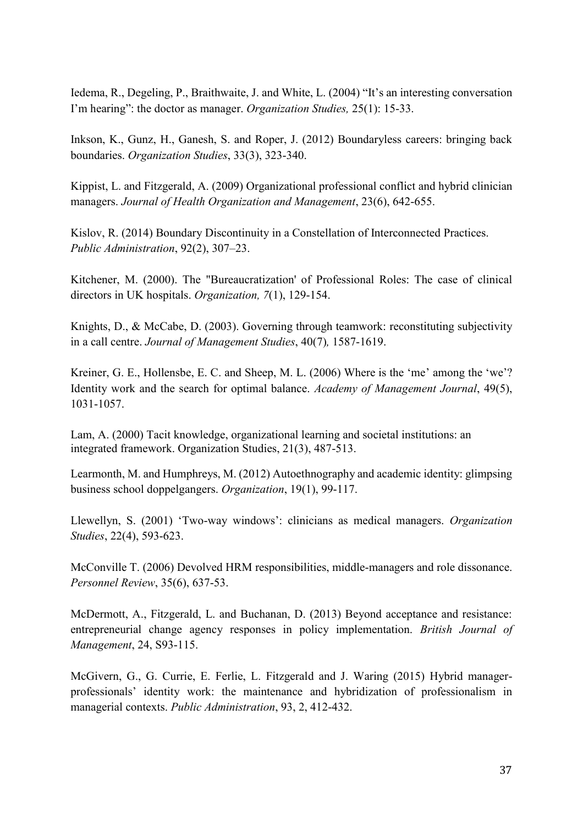Iedema, R., Degeling, P., Braithwaite, J. and White, L. (2004) "It's an interesting conversation I'm hearing": the doctor as manager. *Organization Studies,* 25(1): 15-33.

Inkson, K., Gunz, H., Ganesh, S. and Roper, J. (2012) Boundaryless careers: bringing back boundaries. *Organization Studies*, 33(3), 323-340.

Kippist, L. and Fitzgerald, A. (2009) Organizational professional conflict and hybrid clinician managers. *Journal of Health Organization and Management*, 23(6), 642-655.

Kislov, R. (2014) Boundary Discontinuity in a Constellation of Interconnected Practices. *Public Administration*, 92(2), 307–23.

Kitchener, M. (2000). The "Bureaucratization' of Professional Roles: The case of clinical directors in UK hospitals. *Organization, 7*(1), 129-154.

Knights, D., & McCabe, D. (2003). Governing through teamwork: reconstituting subjectivity in a call centre. *Journal of Management Studies*, 40(7)*,* 1587-1619.

Kreiner, G. E., Hollensbe, E. C. and Sheep, M. L. (2006) Where is the 'me' among the 'we'? Identity work and the search for optimal balance. *Academy of Management Journal*, 49(5), 1031-1057.

Lam, A. (2000) Tacit knowledge, organizational learning and societal institutions: an integrated framework. Organization Studies, 21(3), 487-513.

Learmonth, M. and Humphreys, M. (2012) Autoethnography and academic identity: glimpsing business school doppelgangers. *Organization*, 19(1), 99-117.

Llewellyn, S. (2001) 'Two-way windows': clinicians as medical managers. *Organization Studies*, 22(4), 593-623.

McConville T. (2006) Devolved HRM responsibilities, middle-managers and role dissonance. *Personnel Review*, 35(6), 637-53.

McDermott, A., Fitzgerald, L. and Buchanan, D. (2013) Beyond acceptance and resistance: entrepreneurial change agency responses in policy implementation. *British Journal of Management*, 24, S93-115.

McGivern, G., G. Currie, E. Ferlie, L. Fitzgerald and J. Waring (2015) Hybrid managerprofessionals' identity work: the maintenance and hybridization of professionalism in managerial contexts. *Public Administration*, 93, 2, 412-432.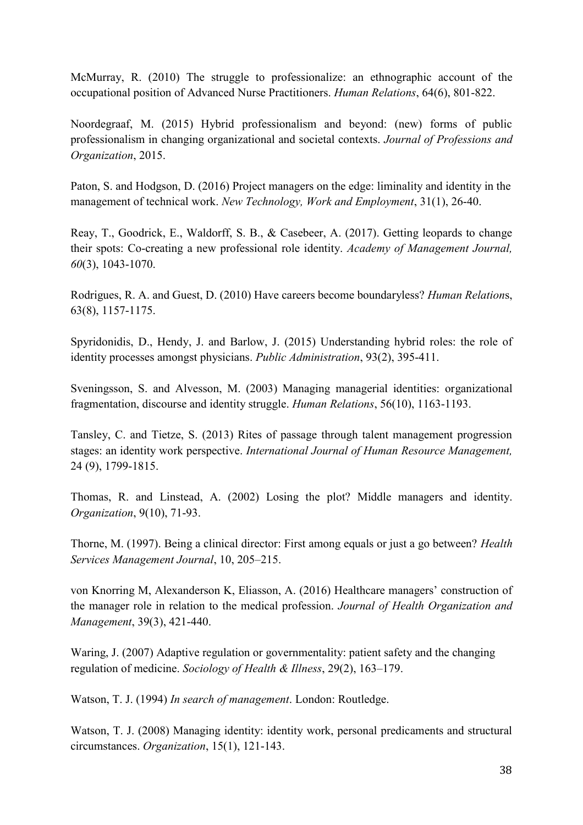McMurray, R. (2010) The struggle to professionalize: an ethnographic account of the occupational position of Advanced Nurse Practitioners. *Human Relations*, 64(6), 801-822.

Noordegraaf, M. (2015) Hybrid professionalism and beyond: (new) forms of public professionalism in changing organizational and societal contexts. *Journal of Professions and Organization*, 2015.

Paton, S. and Hodgson, D. (2016) Project managers on the edge: liminality and identity in the management of technical work. *New Technology, Work and Employment*, 31(1), 26-40.

Reay, T., Goodrick, E., Waldorff, S. B., & Casebeer, A. (2017). Getting leopards to change their spots: Co-creating a new professional role identity. *Academy of Management Journal, 60*(3), 1043-1070.

Rodrigues, R. A. and Guest, D. (2010) Have careers become boundaryless? *Human Relation*s, 63(8), 1157-1175.

Spyridonidis, D., Hendy, J. and Barlow, J. (2015) Understanding hybrid roles: the role of identity processes amongst physicians. *Public Administration*, 93(2), 395-411.

Sveningsson, S. and Alvesson, M. (2003) Managing managerial identities: organizational fragmentation, discourse and identity struggle. *Human Relations*, 56(10), 1163-1193.

Tansley, C. and Tietze, S. (2013) Rites of passage through talent management progression stages: an identity work perspective. *International Journal of Human Resource Management,* 24 (9), 1799-1815.

Thomas, R. and Linstead, A. (2002) Losing the plot? Middle managers and identity. *Organization*, 9(10), 71-93.

Thorne, M. (1997). Being a clinical director: First among equals or just a go between? *Health Services Management Journal*, 10, 205–215.

von Knorring M, Alexanderson K, Eliasson, A. (2016) Healthcare managers' construction of the manager role in relation to the medical profession. *Journal of Health Organization and Management*, 39(3), 421-440.

Waring, J. (2007) Adaptive regulation or governmentality: patient safety and the changing regulation of medicine. *Sociology of Health & Illness*, 29(2), 163–179.

Watson, T. J. (1994) *In search of management*. London: Routledge.

Watson, T. J. (2008) Managing identity: identity work, personal predicaments and structural circumstances. *Organization*, 15(1), 121-143.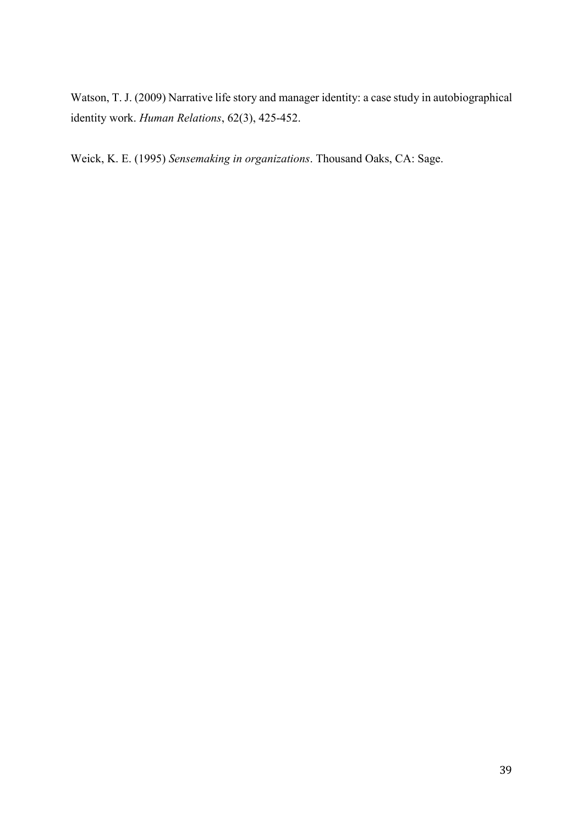Watson, T. J. (2009) Narrative life story and manager identity: a case study in autobiographical identity work. *Human Relations*, 62(3), 425-452.

Weick, K. E. (1995) *Sensemaking in organizations*. Thousand Oaks, CA: Sage.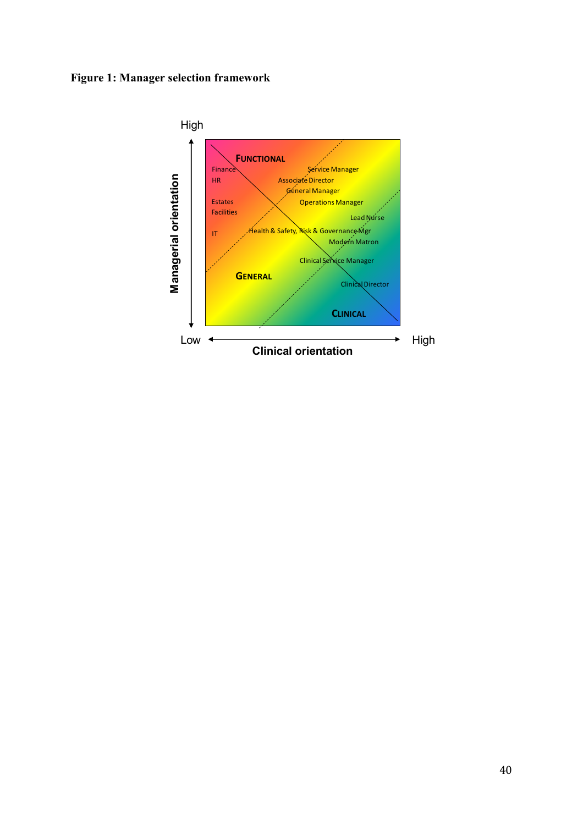### **Figure 1: Manager selection framework**

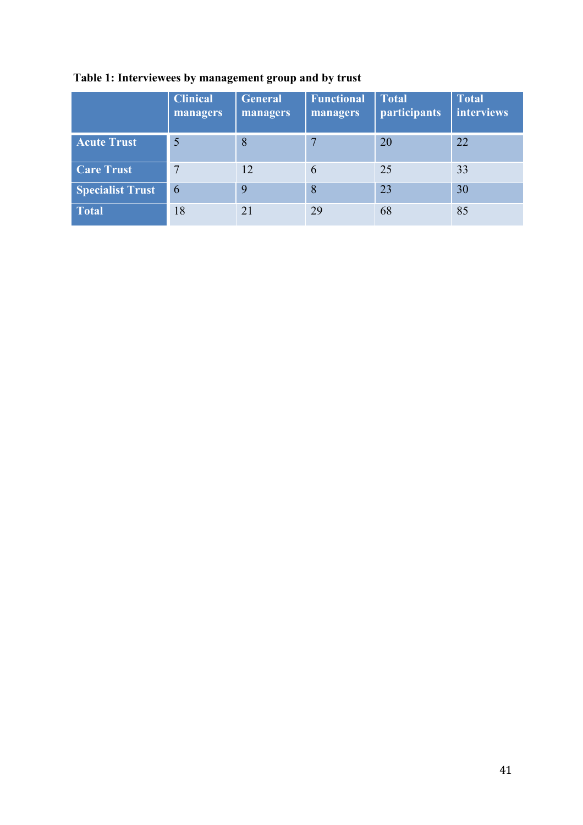|                         | <b>Clinical</b><br>managers | <b>General</b><br>managers | <b>Functional</b><br>managers | <b>Total</b><br><i>participants</i> | <b>Total</b><br>interviews |
|-------------------------|-----------------------------|----------------------------|-------------------------------|-------------------------------------|----------------------------|
| <b>Acute Trust</b>      | 5                           | 8                          | 7                             | 20                                  | 22                         |
| <b>Care Trust</b>       | 7                           | 12                         | 6                             | 25                                  | 33                         |
| <b>Specialist Trust</b> | 6                           | 9                          | 8                             | 23                                  | 30                         |
| <b>Total</b>            | 18                          | 21                         | 29                            | 68                                  | 85                         |

## **Table 1: Interviewees by management group and by trust**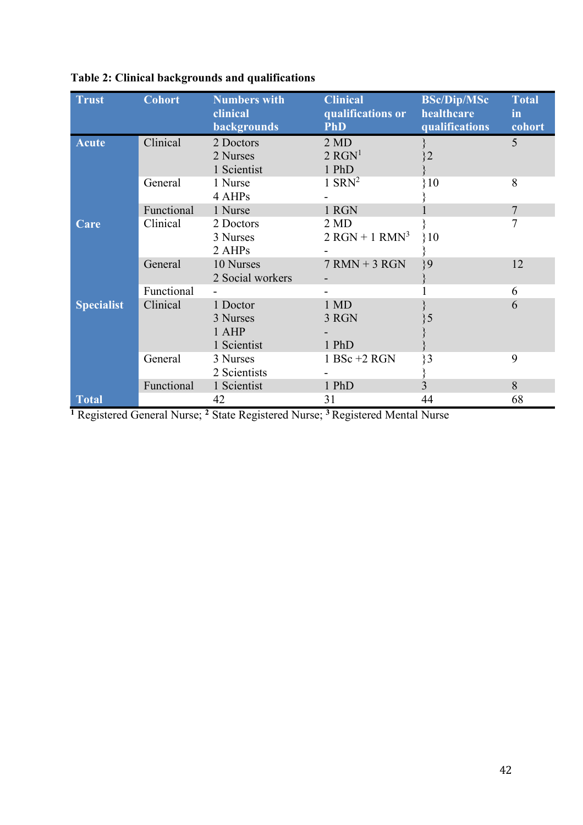| <b>Trust</b>      | <b>Cohort</b> | <b>Numbers with</b><br>clinical<br><b>backgrounds</b> | <b>Clinical</b><br>qualifications or<br><b>PhD</b> | <b>BSc/Dip/MSc</b><br>healthcare<br>qualifications | <b>Total</b><br>in<br>cohort |
|-------------------|---------------|-------------------------------------------------------|----------------------------------------------------|----------------------------------------------------|------------------------------|
| <b>Acute</b>      | Clinical      | 2 Doctors<br>2 Nurses<br>1 Scientist                  | 2MD<br>$2$ RGN <sup>1</sup><br>1 PhD               | $\overline{2}$                                     | 5                            |
|                   | General       | 1 Nurse<br>4 AHPs                                     | $1$ SRN <sup>2</sup>                               | }10                                                | 8                            |
|                   | Functional    | 1 Nurse                                               | 1 RGN                                              |                                                    | $\overline{7}$               |
| Care              | Clinical      | 2 Doctors                                             | $2 \text{ MD}$                                     |                                                    |                              |
|                   |               | 3 Nurses                                              | $2 RGN + 1 RMN3$                                   | 310                                                |                              |
|                   |               | 2 AHPs                                                |                                                    |                                                    |                              |
|                   | General       | 10 Nurses                                             | $7 RMN + 3 RGN$                                    | 9 <sup>°</sup>                                     | 12                           |
|                   |               | 2 Social workers                                      |                                                    |                                                    |                              |
|                   | Functional    |                                                       |                                                    |                                                    | 6                            |
| <b>Specialist</b> | Clinical      | 1 Doctor                                              | $1 \text{ MD}$                                     |                                                    | 6                            |
|                   |               | 3 Nurses                                              | 3 RGN                                              | 5                                                  |                              |
|                   |               | 1 AHP                                                 |                                                    |                                                    |                              |
|                   |               | 1 Scientist                                           | 1 PhD                                              |                                                    |                              |
|                   | General       | 3 Nurses                                              | $1$ BSc +2 RGN                                     | $\overline{3}$                                     | 9                            |
|                   |               | 2 Scientists                                          |                                                    |                                                    |                              |
|                   | Functional    | 1 Scientist                                           | 1 PhD                                              | 3                                                  | 8                            |
| <b>Total</b>      |               | 42                                                    | 31                                                 | 44                                                 | 68                           |

## **Table 2: Clinical backgrounds and qualifications**

<sup>1</sup> Registered General Nurse; <sup>2</sup> State Registered Nurse; <sup>3</sup> Registered Mental Nurse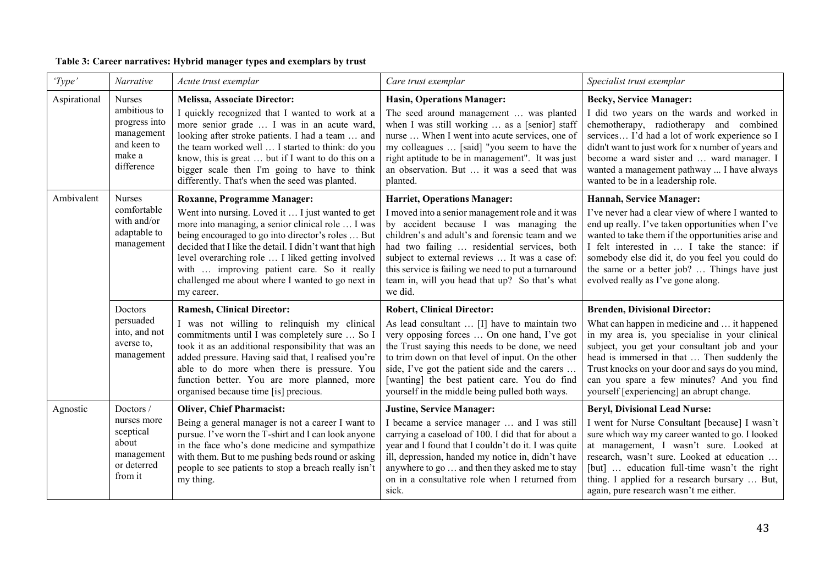|  |  | Table 3: Career narratives: Hybrid manager types and exemplars by trust |  |  |  |
|--|--|-------------------------------------------------------------------------|--|--|--|
|--|--|-------------------------------------------------------------------------|--|--|--|

| 'Type'       | <b>Narrative</b>                                                                                    | Acute trust exemplar                                                                                                                                                                                                                                                                                                                                                                                                             | Care trust exemplar                                                                                                                                                                                                                                                                                                                                                                                       | Specialist trust exemplar                                                                                                                                                                                                                                                                                                                                                           |
|--------------|-----------------------------------------------------------------------------------------------------|----------------------------------------------------------------------------------------------------------------------------------------------------------------------------------------------------------------------------------------------------------------------------------------------------------------------------------------------------------------------------------------------------------------------------------|-----------------------------------------------------------------------------------------------------------------------------------------------------------------------------------------------------------------------------------------------------------------------------------------------------------------------------------------------------------------------------------------------------------|-------------------------------------------------------------------------------------------------------------------------------------------------------------------------------------------------------------------------------------------------------------------------------------------------------------------------------------------------------------------------------------|
| Aspirational | <b>Nurses</b><br>ambitious to<br>progress into<br>management<br>and keen to<br>make a<br>difference | <b>Melissa, Associate Director:</b><br>I quickly recognized that I wanted to work at a<br>more senior grade  I was in an acute ward,<br>looking after stroke patients. I had a team  and<br>the team worked well  I started to think: do you<br>know, this is great  but if I want to do this on a<br>bigger scale then I'm going to have to think<br>differently. That's when the seed was planted.                             | <b>Hasin, Operations Manager:</b><br>The seed around management  was planted<br>when I was still working  as a [senior] staff<br>nurse  When I went into acute services, one of<br>my colleagues  [said] "you seem to have the<br>right aptitude to be in management". It was just<br>an observation. But  it was a seed that was<br>planted.                                                             | <b>Becky, Service Manager:</b><br>I did two years on the wards and worked in<br>chemotherapy, radiotherapy and combined<br>services I'd had a lot of work experience so I<br>didn't want to just work for x number of years and<br>become a ward sister and  ward manager. I<br>wanted a management pathway  I have always<br>wanted to be in a leadership role.                    |
| Ambivalent   | <b>Nurses</b><br>comfortable<br>with and/or<br>adaptable to<br>management                           | <b>Roxanne, Programme Manager:</b><br>Went into nursing. Loved it  I just wanted to get<br>more into managing, a senior clinical role  I was<br>being encouraged to go into director's roles  But<br>decided that I like the detail. I didn't want that high<br>level overarching role  I liked getting involved<br>with  improving patient care. So it really<br>challenged me about where I wanted to go next in<br>my career. | <b>Harriet, Operations Manager:</b><br>I moved into a senior management role and it was<br>by accident because I was managing the<br>children's and adult's and forensic team and we<br>had two failing  residential services, both<br>subject to external reviews  It was a case of:<br>this service is failing we need to put a turnaround<br>team in, will you head that up? So that's what<br>we did. | Hannah, Service Manager:<br>I've never had a clear view of where I wanted to<br>end up really. I've taken opportunities when I've<br>wanted to take them if the opportunities arise and<br>I felt interested in  I take the stance: if<br>somebody else did it, do you feel you could do<br>the same or a better job?  Things have just<br>evolved really as I've gone along.       |
|              | Doctors<br>persuaded<br>into, and not<br>averse to,<br>management                                   | <b>Ramesh, Clinical Director:</b><br>I was not willing to relinquish my clinical<br>commitments until I was completely sure  So I<br>took it as an additional responsibility that was an<br>added pressure. Having said that, I realised you're<br>able to do more when there is pressure. You<br>function better. You are more planned, more<br>organised because time [is] precious.                                           | <b>Robert, Clinical Director:</b><br>As lead consultant  [I] have to maintain two<br>very opposing forces  On one hand, I've got<br>the Trust saying this needs to be done, we need<br>to trim down on that level of input. On the other<br>side, I've got the patient side and the carers<br>[wanting] the best patient care. You do find<br>yourself in the middle being pulled both ways.              | <b>Brenden, Divisional Director:</b><br>What can happen in medicine and  it happened<br>in my area is, you specialise in your clinical<br>subject, you get your consultant job and your<br>head is immersed in that  Then suddenly the<br>Trust knocks on your door and says do you mind,<br>can you spare a few minutes? And you find<br>yourself [experiencing] an abrupt change. |
| Agnostic     | Doctors /<br>nurses more<br>sceptical<br>about<br>management<br>or deterred<br>from it              | <b>Oliver, Chief Pharmacist:</b><br>Being a general manager is not a career I want to<br>pursue. I've worn the T-shirt and I can look anyone<br>in the face who's done medicine and sympathize<br>with them. But to me pushing beds round or asking<br>people to see patients to stop a breach really isn't<br>my thing.                                                                                                         | <b>Justine, Service Manager:</b><br>I became a service manager  and I was still<br>carrying a caseload of 100. I did that for about a<br>year and I found that I couldn't do it. I was quite<br>ill, depression, handed my notice in, didn't have<br>anywhere to go  and then they asked me to stay<br>on in a consultative role when I returned from<br>sick.                                            | <b>Beryl, Divisional Lead Nurse:</b><br>I went for Nurse Consultant [because] I wasn't<br>sure which way my career wanted to go. I looked<br>at management, I wasn't sure. Looked at<br>research, wasn't sure. Looked at education<br>[but]  education full-time wasn't the right<br>thing. I applied for a research bursary  But,<br>again, pure research wasn't me either.        |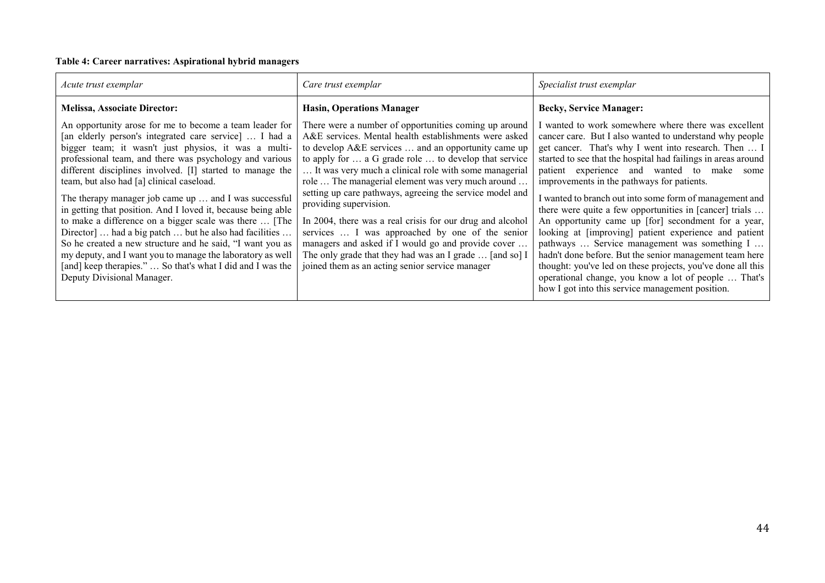#### **Table 4: Career narratives: Aspirational hybrid managers**

| Acute trust exemplar                                                                                                                                                                                                                                                                                                                                                                                                                                                                                                                                                                                                                                                                                                                                                                                               | Care trust exemplar                                                                                                                                                                                                                                                                                                                                                                                                                                                                                                                                                                                                                                                                                                    | Specialist trust exemplar                                                                                                                                                                                                                                                                                                                                                                                                                                                                                                                                                                                                                                                                                                                                                                                                                                        |
|--------------------------------------------------------------------------------------------------------------------------------------------------------------------------------------------------------------------------------------------------------------------------------------------------------------------------------------------------------------------------------------------------------------------------------------------------------------------------------------------------------------------------------------------------------------------------------------------------------------------------------------------------------------------------------------------------------------------------------------------------------------------------------------------------------------------|------------------------------------------------------------------------------------------------------------------------------------------------------------------------------------------------------------------------------------------------------------------------------------------------------------------------------------------------------------------------------------------------------------------------------------------------------------------------------------------------------------------------------------------------------------------------------------------------------------------------------------------------------------------------------------------------------------------------|------------------------------------------------------------------------------------------------------------------------------------------------------------------------------------------------------------------------------------------------------------------------------------------------------------------------------------------------------------------------------------------------------------------------------------------------------------------------------------------------------------------------------------------------------------------------------------------------------------------------------------------------------------------------------------------------------------------------------------------------------------------------------------------------------------------------------------------------------------------|
| <b>Melissa, Associate Director:</b>                                                                                                                                                                                                                                                                                                                                                                                                                                                                                                                                                                                                                                                                                                                                                                                | <b>Hasin, Operations Manager</b>                                                                                                                                                                                                                                                                                                                                                                                                                                                                                                                                                                                                                                                                                       | <b>Becky, Service Manager:</b>                                                                                                                                                                                                                                                                                                                                                                                                                                                                                                                                                                                                                                                                                                                                                                                                                                   |
| An opportunity arose for me to become a team leader for<br>[an elderly person's integrated care service]  I had a<br>bigger team; it wasn't just physios, it was a multi-<br>professional team, and there was psychology and various<br>different disciplines involved. [I] started to manage the<br>team, but also had [a] clinical caseload.<br>The therapy manager job came up  and I was successful<br>in getting that position. And I loved it, because being able<br>to make a difference on a bigger scale was there  [The<br>Director]  had a big patch  but he also had facilities<br>So he created a new structure and he said, "I want you as<br>my deputy, and I want you to manage the laboratory as well<br>[and] keep therapies."  So that's what I did and I was the<br>Deputy Divisional Manager. | There were a number of opportunities coming up around<br>A&E services. Mental health establishments were asked<br>to develop A&E services  and an opportunity came up<br>to apply for  a G grade role  to develop that service<br>It was very much a clinical role with some managerial<br>role  The managerial element was very much around<br>setting up care pathways, agreeing the service model and<br>providing supervision.<br>In 2004, there was a real crisis for our drug and alcohol<br>services  I was approached by one of the senior<br>managers and asked if I would go and provide cover<br>The only grade that they had was an I grade  [and so] I<br>joined them as an acting senior service manager | I wanted to work somewhere where there was excellent<br>cancer care. But I also wanted to understand why people<br>get cancer. That's why I went into research. Then  I<br>started to see that the hospital had failings in areas around<br>patient experience and wanted to make some<br>improvements in the pathways for patients.<br>I wanted to branch out into some form of management and<br>there were quite a few opportunities in [cancer] trials<br>An opportunity came up [for] secondment for a year,<br>looking at [improving] patient experience and patient<br>pathways  Service management was something I<br>hadn't done before. But the senior management team here<br>thought: you've led on these projects, you've done all this<br>operational change, you know a lot of people  That's<br>how I got into this service management position. |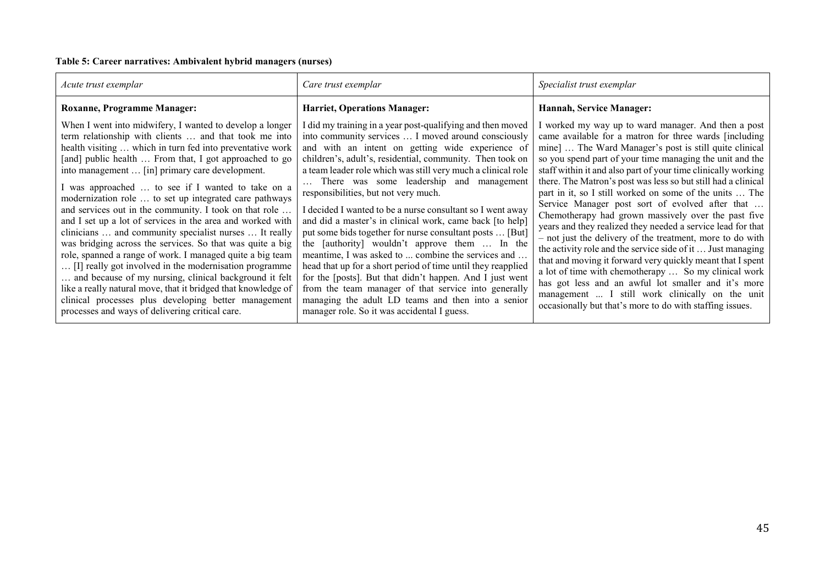#### **Table 5: Career narratives: Ambivalent hybrid managers (nurses)**

| Acute trust exemplar                                          | Care trust exemplar                                          | Specialist trust exemplar                                     |
|---------------------------------------------------------------|--------------------------------------------------------------|---------------------------------------------------------------|
| <b>Roxanne, Programme Manager:</b>                            | <b>Harriet, Operations Manager:</b>                          | <b>Hannah, Service Manager:</b>                               |
| When I went into midwifery, I wanted to develop a longer      | I did my training in a year post-qualifying and then moved   | I worked my way up to ward manager. And then a post           |
| term relationship with clients  and that took me into         | into community services  I moved around consciously          | came available for a matron for three wards [including]       |
| health visiting  which in turn fed into preventative work     | and with an intent on getting wide experience of             | mine]  The Ward Manager's post is still quite clinical        |
| [and] public health  From that, I got approached to go        | children's, adult's, residential, community. Then took on    | so you spend part of your time managing the unit and the      |
| into management  [in] primary care development.               | a team leader role which was still very much a clinical role | staff within it and also part of your time clinically working |
| I was approached  to see if I wanted to take on a             | There was some leadership and management                     | there. The Matron's post was less so but still had a clinical |
| modernization role  to set up integrated care pathways        | responsibilities, but not very much.                         | part in it, so I still worked on some of the units  The       |
| and services out in the community. I took on that role        | I decided I wanted to be a nurse consultant so I went away   | Service Manager post sort of evolved after that               |
| and I set up a lot of services in the area and worked with    | and did a master's in clinical work, came back [to help]     | Chemotherapy had grown massively over the past five           |
| clinicians  and community specialist nurses  It really        | put some bids together for nurse consultant posts  [But]     | years and they realized they needed a service lead for that   |
| was bridging across the services. So that was quite a big     | the [authority] wouldn't approve them  In the                | - not just the delivery of the treatment, more to do with     |
| role, spanned a range of work. I managed quite a big team     | meantime, I was asked to  combine the services and           | the activity role and the service side of it Just managing    |
| [I] really got involved in the modernisation programme        | head that up for a short period of time until they reapplied | that and moving it forward very quickly meant that I spent    |
| and because of my nursing, clinical background it felt        | for the [posts]. But that didn't happen. And I just went     | a lot of time with chemotherapy  So my clinical work          |
| like a really natural move, that it bridged that knowledge of | from the team manager of that service into generally         | has got less and an awful lot smaller and it's more           |
| clinical processes plus developing better management          | managing the adult LD teams and then into a senior           | management  I still work clinically on the unit               |